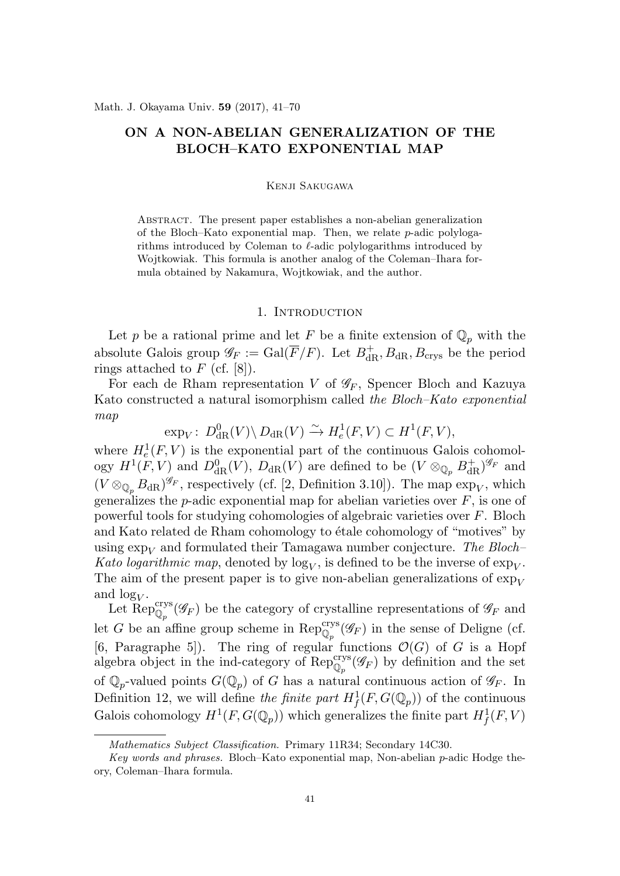# ON A NON-ABELIAN GENERALIZATION OF THE BLOCH–KATO EXPONENTIAL MAP

#### Kenji Sakugawa

Abstract. The present paper establishes a non-abelian generalization of the Bloch–Kato exponential map. Then, we relate p-adic polylogarithms introduced by Coleman to  $\ell$ -adic polylogarithms introduced by Wojtkowiak. This formula is another analog of the Coleman–Ihara formula obtained by Nakamura, Wojtkowiak, and the author.

## 1. INTRODUCTION

Let p be a rational prime and let F be a finite extension of  $\mathbb{Q}_p$  with the absolute Galois group  $\mathscr{G}_F := \text{Gal}(\overline{F}/F)$ . Let  $B^+_{\text{dR}}, B_{\text{dR}}, B_{\text{crys}}$  be the period rings attached to  $F$  (cf. [8]).

For each de Rham representation V of  $\mathscr{G}_F$ , Spencer Bloch and Kazuya Kato constructed a natural isomorphism called the Bloch–Kato exponential map

 $\exp_V: D_{\text{dR}}^0(V) \backslash D_{\text{dR}}(V) \xrightarrow{\sim} H_e^1(F, V) \subset H^1(F, V),$ 

where  $H_e^1(F, V)$  is the exponential part of the continuous Galois cohomology  $H^1(F, V)$  and  $D^0_{\rm dR}(V)$ ,  $D_{\rm dR}(V)$  are defined to be  $(V \otimes_{\mathbb{Q}_p} B_{\rm dR}^+)^{\mathscr{G}_F}$  and  $(V \otimes_{\mathbb{Q}_p} B_{\text{dR}})^{\mathscr{G}_F}$ , respectively (cf. [2, Definition 3.10]). The map  $\exp_V$ , which generalizes the *p*-adic exponential map for abelian varieties over  $F$ , is one of powerful tools for studying cohomologies of algebraic varieties over F. Bloch and Kato related de Rham cohomology to étale cohomology of "motives" by using  $\exp_V$  and formulated their Tamagawa number conjecture. The Bloch-*Kato logarithmic map*, denoted by  $log_V$ , is defined to be the inverse of  $exp_V$ . The aim of the present paper is to give non-abelian generalizations of  $\exp_V$ and  $log<sub>V</sub>$ .

Let  $\operatorname{Rep}_{\mathbb{Q}_p}^{\text{crys}}(\mathscr{G}_F)$  be the category of crystalline representations of  $\mathscr{G}_F$  and let G be an affine group scheme in  $\operatorname{Rep}_{\mathbb{Q}_p}^{\text{crys}}(\mathscr{G}_F)$  in the sense of Deligne (cf. [6, Paragraphe 5]). The ring of regular functions  $\mathcal{O}(G)$  of G is a Hopf algebra object in the ind-category of  $\operatorname{Rep}_{\mathbb{Q}_p}^{\text{crys}}(\mathscr{G}_F)$  by definition and the set of  $\mathbb{Q}_p$ -valued points  $G(\mathbb{Q}_p)$  of G has a natural continuous action of  $\mathscr{G}_F$ . In Definition 12, we will define the finite part  $H^1_f(F, G(\mathbb{Q}_p))$  of the continuous Galois cohomology  $H^1(F, G(\mathbb{Q}_p))$  which generalizes the finite part  $H^1_f(F, V)$ 

Mathematics Subject Classification. Primary 11R34; Secondary 14C30.

Key words and phrases. Bloch–Kato exponential map, Non-abelian  $p$ -adic Hodge theory, Coleman–Ihara formula.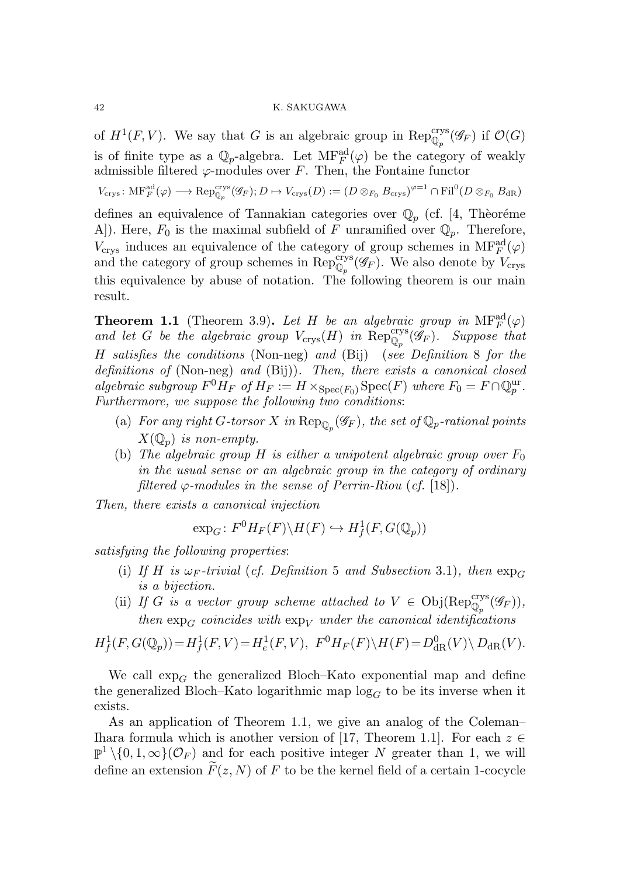of  $H^1(F, V)$ . We say that G is an algebraic group in  $\text{Rep}_{\mathbb{Q}_p}^{\text{crys}}(\mathscr{G}_F)$  if  $\mathcal{O}(G)$ is of finite type as a  $\mathbb{Q}_p$ -algebra. Let  $\mathbf{M}^{\text{rad}}(\varphi)$  be the category of weakly admissible filtered  $\varphi$ -modules over F. Then, the Fontaine functor

$$
V_{\text{crys}}\colon \text{MF}_F^{\text{ad}}(\varphi)\longrightarrow \text{Rep}_{\mathbb{Q}_p}^{\text{crys}}(\mathscr{G}_F); D\mapsto V_{\text{crys}}(D):=(D\otimes_{F_0}B_{\text{crys}})^{\varphi=1}\cap \text{Fil}^0(D\otimes_{F_0}B_{\text{dR}})
$$

defines an equivalence of Tannakian categories over  $\mathbb{Q}_p$  (cf. [4, Theoréme A]). Here,  $F_0$  is the maximal subfield of F unramified over  $\mathbb{Q}_p$ . Therefore,  $V_{\text{crys}}$  induces an equivalence of the category of group schemes in  $\text{MF}_F^{\text{ad}}(\varphi)$ and the category of group schemes in  $\text{Rep}_{\mathbb{Q}_p}^{\text{crys}}(\mathscr{G}_F)$ . We also denote by  $V_{\text{crys}}$ this equivalence by abuse of notation. The following theorem is our main result.

**Theorem 1.1** (Theorem 3.9). Let H be an algebraic group in  $\text{MF}_F^{\text{ad}}(\varphi)$ and let G be the algebraic group  $V_{\text{crys}}(H)$  in  $\text{Rep}_{\mathbb{Q}_p}^{\text{crys}}(\mathscr{G}_F)$ . Suppose that H satisfies the conditions (Non-neg) and (Bij) (see Definition 8 for the definitions of (Non-neg) and (Bij)). Then, there exists a canonical closed algebraic subgroup  $F^0H_F$  of  $H_F := H \times_{Spec(F_0)} Spec(F)$  where  $F_0 = F \cap \mathbb{Q}_p^{\text{ur}}$  $_{p}^{\mathrm{ur}}.$ Furthermore, we suppose the following two conditions:

- (a) For any right G-torsor X in  $\text{Rep}_{\mathbb{Q}_p}(\mathscr{G}_F)$ , the set of  $\mathbb{Q}_p$ -rational points  $X(\mathbb{Q}_p)$  is non-empty.
- (b) The algebraic group H is either a unipotent algebraic group over  $F_0$ in the usual sense or an algebraic group in the category of ordinary filtered  $\varphi$ -modules in the sense of Perrin-Riou (cf. [18]).

Then, there exists a canonical injection

$$
\exp_G: F^0H_F(F)\backslash H(F) \hookrightarrow H^1_f(F, G(\mathbb{Q}_p))
$$

satisfying the following properties:

- (i) If H is  $\omega_F$ -trivial (cf. Definition 5 and Subsection 3.1), then  $\exp_G$ is a bijection.
- (ii) If G is a vector group scheme attached to  $V \in \mathrm{Obj}(\mathrm{Rep}_{\mathbb{Q}_p}^{\mathrm{crys}}(\mathscr{G}_F)),$ then  $\exp_G$  coincides with  $\exp_V$  under the canonical identifications

$$
H_f^1(F, G(\mathbb{Q}_p)) = H_f^1(F, V) = H_e^1(F, V), \ F^0H_F(F) \backslash H(F) = D_{dR}^0(V) \backslash D_{dR}(V).
$$

We call  $\exp_G$  the generalized Bloch–Kato exponential map and define the generalized Bloch–Kato logarithmic map  $log<sub>G</sub>$  to be its inverse when it exists.

As an application of Theorem 1.1, we give an analog of the Coleman– Ihara formula which is another version of [17, Theorem 1.1]. For each  $z \in$  $\mathbb{P}^1 \setminus \{0, 1, \infty\}(\mathcal{O}_F)$  and for each positive integer N greater than 1, we will define an extension  $\widetilde{F}(z, N)$  of F to be the kernel field of a certain 1-cocycle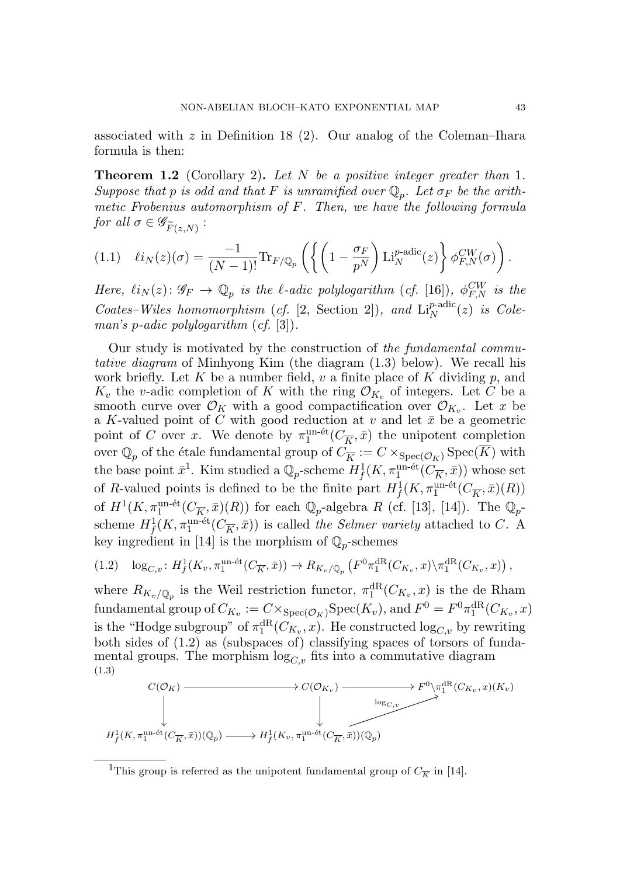associated with  $z$  in Definition 18 (2). Our analog of the Coleman–Ihara formula is then:

**Theorem 1.2** (Corollary 2). Let N be a positive integer greater than 1. Suppose that p is odd and that F is unramified over  $\mathbb{Q}_p$ . Let  $\sigma_F$  be the arithmetic Frobenius automorphism of F. Then, we have the following formula for all  $\sigma \in \mathscr{G}_{\widetilde{F}(z,N)}$ :

$$
(1.1) \quad \ell i_N(z)(\sigma) = \frac{-1}{(N-1)!} \text{Tr}_{F/\mathbb{Q}_p}\left(\left\{ \left(1 - \frac{\sigma_F}{p^N}\right) \text{Li}_N^{p\text{-adic}}(z)\right\} \phi_{F,N}^{CW}(\sigma) \right).
$$

Here,  $\ell i_N(z)$ :  $\mathscr{G}_F \to \mathbb{Q}_p$  is the  $\ell$ -adic polylogarithm (cf. [16]),  $\phi_{F,N}^{CW}$  is the Coates–Wiles homomorphism (cf. [2, Section 2]), and  $\text{Li}_N^{p\text{-}\text{adic}}(z)$  is Coleman's p-adic polylogarithm  $(cf. [3])$ .

Our study is motivated by the construction of the fundamental commutative diagram of Minhyong Kim (the diagram (1.3) below). We recall his work briefly. Let K be a number field,  $v$  a finite place of K dividing  $p$ , and  $K_v$  the v-adic completion of K with the ring  $\mathcal{O}_{K_v}$  of integers. Let C be a smooth curve over  $\mathcal{O}_K$  with a good compactification over  $\mathcal{O}_{K_v}$ . Let x be a K-valued point of C with good reduction at v and let  $\bar{x}$  be a geometric point of C over x. We denote by  $\pi_1^{\text{un-\'et}}(C_{\overline{K}}, \overline{x})$  the unipotent completion over  $\mathbb{Q}_p$  of the étale fundamental group of  $C_{\overline{K}} := C \times_{\text{Spec}(\mathcal{O}_K)} \text{Spec}(K)$  with the base point  $\bar{x}^1$ . Kim studied a  $\mathbb{Q}_p$ -scheme  $H^1_f(K, \pi_1^{\text{un-\'et}}(C_{\overline{K}}, \bar{x}))$  whose set of R-valued points is defined to be the finite part  $H_f^1(K, \pi_1^{\text{un-\'et}}(C_{\overline{K}}, \overline{x})(R))$ of  $H^1(K, \pi_1^{\text{un-ét}}(C_{\overline{K}}, \overline{x})(R))$  for each  $\mathbb{Q}_p$ -algebra R (cf. [13], [14]). The  $\mathbb{Q}_p$ scheme  $H^1_f(K, \pi_1^{\text{un-\'et}}(C_{\overline{K}}, \overline{x}))$  is called the Selmer variety attached to C. A key ingredient in [14] is the morphism of  $\mathbb{Q}_p$ -schemes

$$
(1.2) \quad \log_{C,v}: H^1_f(K_v, \pi_1^{\text{un-\'et}}(C_{\overline{K}}, \overline{x})) \to R_{K_v/\mathbb{Q}_p}\left(F^0\pi_1^{\text{dR}}(C_{K_v}, x)\backslash \pi_1^{\text{dR}}(C_{K_v}, x)\right),
$$

where  $R_{K_v/\mathbb{Q}_p}$  is the Weil restriction functor,  $\pi_1^{\text{dR}}(C_{K_v},x)$  is the de Rham fundamental group of  $C_{K_v} := C \times_{\text{Spec}(\mathcal{O}_K)} \text{Spec}(K_v)$ , and  $F^0 = F^0 \pi_1^{\text{dR}}(C_{K_v}, x)$ is the "Hodge subgroup" of  $\pi_1^{\text{dR}}(C_{K_v},x)$ . He constructed  $\log_{C,v}$  by rewriting both sides of (1.2) as (subspaces of) classifying spaces of torsors of fundamental groups. The morphism  $log_{C,v}$  fits into a commutative diagram (1.3)

$$
C(\mathcal{O}_K) \longrightarrow C(\mathcal{O}_{K_v}) \longrightarrow F^0 \setminus \pi_1^{\mathrm{dR}}(C_{K_v}, x)(K_v)
$$
  
\n
$$
\downarrow \qquad \qquad \downarrow
$$
  
\n
$$
H^1_f(K, \pi_1^{\mathrm{un-\'et}}(C_{\overline{K}}, \overline{x}))(\mathbb{Q}_p) \longrightarrow H^1_f(K_v, \pi_1^{\mathrm{un-\'et}}(C_{\overline{K}}, \overline{x}))(\mathbb{Q}_p)
$$

<sup>&</sup>lt;sup>1</sup>This group is referred as the unipotent fundamental group of  $C_{\overline{K}}$  in [14].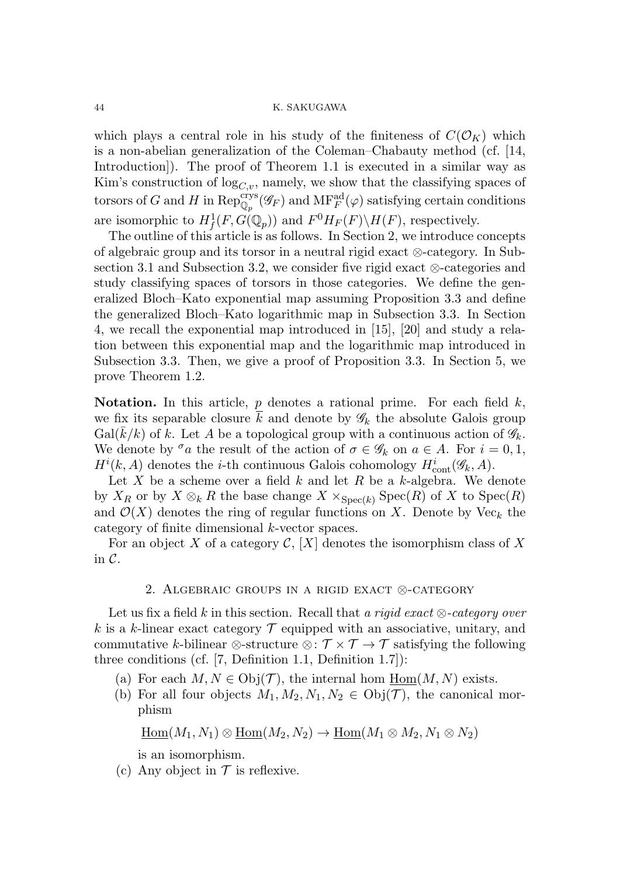which plays a central role in his study of the finiteness of  $C(\mathcal{O}_K)$  which is a non-abelian generalization of the Coleman–Chabauty method (cf. [14, Introduction... The proof of Theorem 1.1 is executed in a similar way as Kim's construction of  $log_{C,v}$ , namely, we show that the classifying spaces of torsors of G and H in  $\text{Rep}_{\mathbb{Q}_p}^{\text{crys}}(\mathscr{G}_F)$  and  $\text{MF}_F^{\text{ad}}(\varphi)$  satisfying certain conditions are isomorphic to  $H^1_f(F, G(\mathbb{Q}_p))$  and  $F^0H_F(F)\backslash H(F)$ , respectively.

The outline of this article is as follows. In Section 2, we introduce concepts of algebraic group and its torsor in a neutral rigid exact ⊗-category. In Subsection 3.1 and Subsection 3.2, we consider five rigid exact ⊗-categories and study classifying spaces of torsors in those categories. We define the generalized Bloch–Kato exponential map assuming Proposition 3.3 and define the generalized Bloch–Kato logarithmic map in Subsection 3.3. In Section 4, we recall the exponential map introduced in [15], [20] and study a relation between this exponential map and the logarithmic map introduced in Subsection 3.3. Then, we give a proof of Proposition 3.3. In Section 5, we prove Theorem 1.2.

Notation. In this article,  $p$  denotes a rational prime. For each field  $k$ , we fix its separable closure k and denote by  $\mathscr{G}_k$  the absolute Galois group  $Gal(\overline{k}/k)$  of k. Let A be a topological group with a continuous action of  $\mathscr{G}_k$ . We denote by  $\sigma a$  the result of the action of  $\sigma \in \mathscr{G}_k$  on  $a \in A$ . For  $i = 0, 1$ ,  $H^i(k, A)$  denotes the *i*-th continuous Galois cohomology  $H^i_{\text{cont}}(\mathscr{G}_k, A)$ .

Let X be a scheme over a field  $k$  and let  $R$  be a  $k$ -algebra. We denote by  $X_R$  or by  $X \otimes_k R$  the base change  $X \times_{\text{Spec}(k)} \text{Spec}(R)$  of X to  $\text{Spec}(R)$ and  $\mathcal{O}(X)$  denotes the ring of regular functions on X. Denote by Vec<sub>k</sub> the category of finite dimensional k-vector spaces.

For an object X of a category C,  $[X]$  denotes the isomorphism class of X in C.

## 2. Algebraic groups in a rigid exact ⊗-category

Let us fix a field k in this section. Recall that a rigid exact  $\otimes$ -category over k is a k-linear exact category  $\mathcal T$  equipped with an associative, unitary, and commutative k-bilinear ⊗-structure ⊗:  $\mathcal{T} \times \mathcal{T} \rightarrow \mathcal{T}$  satisfying the following three conditions (cf. [7, Definition 1.1, Definition 1.7]):

- (a) For each  $M, N \in Obj(\mathcal{T})$ , the internal hom  $Hom(M, N)$  exists.
- (b) For all four objects  $M_1, M_2, N_1, N_2 \in Obj(\mathcal{T})$ , the canonical morphism

 $\underline{\mathrm{Hom}}(M_1, N_1) \otimes \underline{\mathrm{Hom}}(M_2, N_2) \to \underline{\mathrm{Hom}}(M_1 \otimes M_2, N_1 \otimes N_2)$ 

is an isomorphism.

(c) Any object in  $\mathcal T$  is reflexive.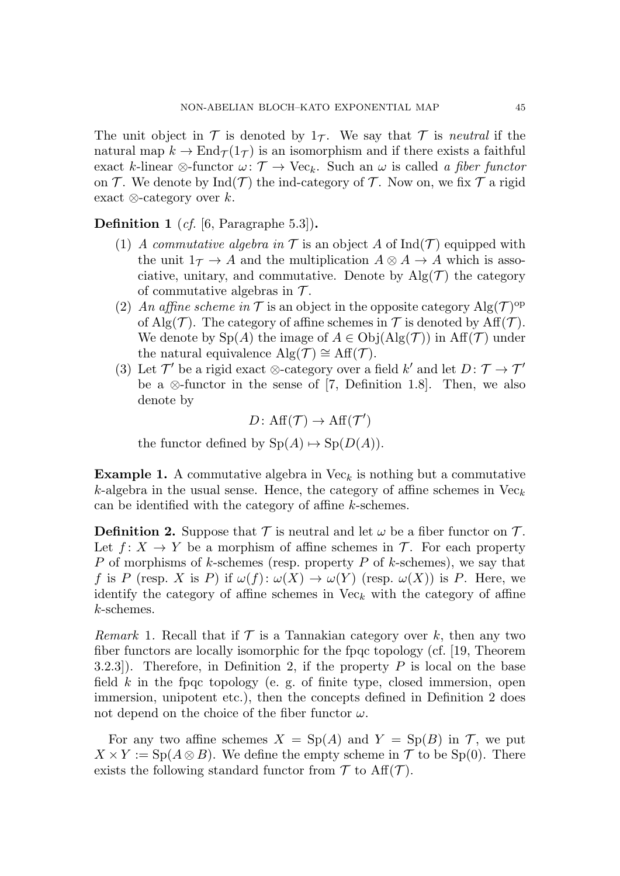The unit object in  $\mathcal T$  is denoted by  $1_{\mathcal T}$ . We say that  $\mathcal T$  is neutral if the natural map  $k \to \text{End}_{\mathcal{T}}(1_{\mathcal{T}})$  is an isomorphism and if there exists a faithful exact k-linear ⊗-functor  $\omega: \mathcal{T} \to \text{Vec}_k$ . Such an  $\omega$  is called a fiber functor on  $\mathcal T$ . We denote by Ind( $\mathcal T$ ) the ind-category of  $\mathcal T$ . Now on, we fix  $\mathcal T$  a rigid exact  $\otimes$ -category over k.

Definition 1 (cf. [6, Paragraphe 5.3]).

- (1) A commutative algebra in  $\mathcal T$  is an object A of Ind( $\mathcal T$ ) equipped with the unit  $1_{\mathcal{T}} \rightarrow A$  and the multiplication  $A \otimes A \rightarrow A$  which is associative, unitary, and commutative. Denote by  $\text{Alg}(\mathcal{T})$  the category of commutative algebras in  $\mathcal{T}$ .
- (2) An affine scheme in  $\mathcal T$  is an object in the opposite category  $\text{Alg}(\mathcal T)^\text{op}$ of Alg(T). The category of affine schemes in  $\mathcal T$  is denoted by Aff(T). We denote by  $Sp(A)$  the image of  $A \in Obj(A\vert g(\mathcal{T}))$  in  $Aff(\mathcal{T})$  under the natural equivalence  $\text{Alg}(\mathcal{T}) \cong \text{Aff}(\mathcal{T})$ .
- (3) Let  $\mathcal{T}'$  be a rigid exact ⊗-category over a field k' and let  $D: \mathcal{T} \to \mathcal{T}'$ be a  $\otimes$ -functor in the sense of [7, Definition 1.8]. Then, we also denote by

$$
D\colon \mathrm{Aff}(\mathcal{T})\to \mathrm{Aff}(\mathcal{T}')
$$

the functor defined by  $Sp(A) \mapsto Sp(D(A)).$ 

**Example 1.** A commutative algebra in Vec<sub>k</sub> is nothing but a commutative k-algebra in the usual sense. Hence, the category of affine schemes in  $Vec_k$ can be identified with the category of affine k-schemes.

**Definition 2.** Suppose that  $\mathcal T$  is neutral and let  $\omega$  be a fiber functor on  $\mathcal T$ . Let  $f: X \to Y$  be a morphism of affine schemes in  $\mathcal{T}$ . For each property P of morphisms of k-schemes (resp. property P of k-schemes), we say that f is P (resp. X is P) if  $\omega(f): \omega(X) \to \omega(Y)$  (resp.  $\omega(X)$ ) is P. Here, we identify the category of affine schemes in  $Vec_k$  with the category of affine k-schemes.

Remark 1. Recall that if  $\mathcal T$  is a Tannakian category over k, then any two fiber functors are locally isomorphic for the fpqc topology (cf. [19, Theorem 3.2.3]). Therefore, in Definition 2, if the property  $P$  is local on the base field  $k$  in the fpqc topology (e. g. of finite type, closed immersion, open immersion, unipotent etc.), then the concepts defined in Definition 2 does not depend on the choice of the fiber functor  $\omega$ .

For any two affine schemes  $X = Sp(A)$  and  $Y = Sp(B)$  in  $\mathcal{T}$ , we put  $X \times Y := Sp(A \otimes B)$ . We define the empty scheme in  $\mathcal T$  to be  $Sp(0)$ . There exists the following standard functor from  $\mathcal T$  to  $\mathrm{Aff}(\mathcal T)$ .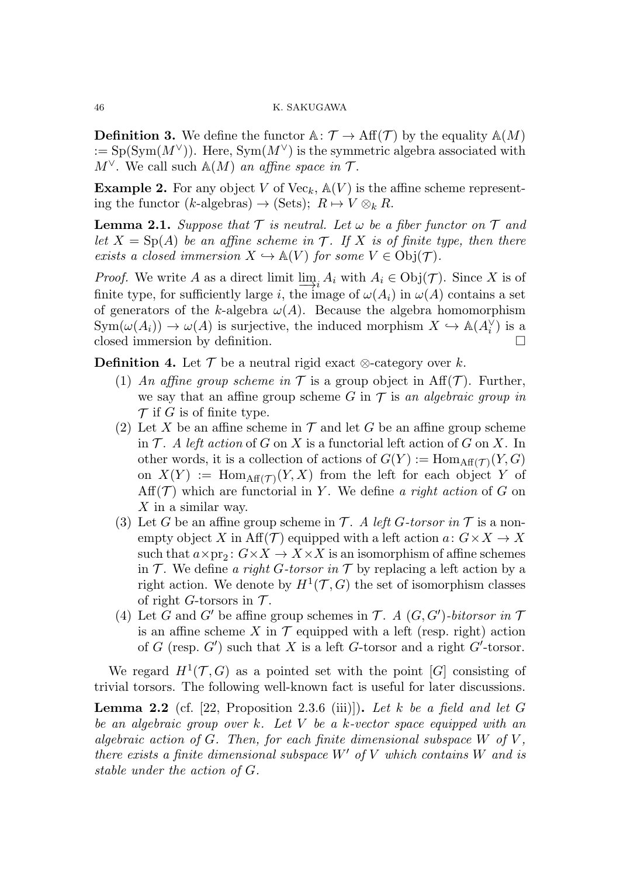**Definition 3.** We define the functor  $\mathbb{A} : \mathcal{T} \to \mathrm{Aff}(\mathcal{T})$  by the equality  $\mathbb{A}(M)$ := Sp(Sym $(M^{\vee})$ ). Here, Sym $(M^{\vee})$  is the symmetric algebra associated with  $M^{\vee}$ . We call such  $\mathbb{A}(M)$  an affine space in  $\mathcal{T}$ .

**Example 2.** For any object V of Vec<sub>k</sub>,  $\mathbb{A}(V)$  is the affine scheme representing the functor (k-algebras)  $\rightarrow$  (Sets);  $R \rightarrow V \otimes_k R$ .

**Lemma 2.1.** Suppose that  $\mathcal T$  is neutral. Let  $\omega$  be a fiber functor on  $\mathcal T$  and let  $X = Sp(A)$  be an affine scheme in  $\mathcal T$ . If X is of finite type, then there exists a closed immersion  $X \hookrightarrow A(V)$  for some  $V \in Obj(\mathcal{T})$ .

*Proof.* We write A as a direct limit  $\lim_{t \to i} A_i$  with  $A_i \in Obj(\mathcal{T})$ . Since X is of finite type for sufficiently large *i*, the image of  $\omega(A)$  in  $\omega(A)$  contains a set finite type, for sufficiently large i, the image of  $\omega(A_i)$  in  $\omega(A)$  contains a set of generators of the k-algebra  $\omega(A)$ . Because the algebra homomorphism  $Sym(\omega(A_i)) \to \omega(A)$  is surjective, the induced morphism  $X \to \mathbb{A}(A_i^{\vee})$  is a closed immersion by definition.

**Definition 4.** Let  $\mathcal{T}$  be a neutral rigid exact  $\otimes$ -category over k.

- (1) An affine group scheme in  $\mathcal T$  is a group object in  $\text{Aff}(\mathcal T)$ . Further, we say that an affine group scheme G in  $\mathcal T$  is an algebraic group in  $\mathcal T$  if G is of finite type.
- (2) Let X be an affine scheme in  $\mathcal T$  and let G be an affine group scheme in  $\mathcal T$ . A left action of G on X is a functorial left action of G on X. In other words, it is a collection of actions of  $G(Y) := \text{Hom}_{\text{Aff}(\mathcal{T})}(Y, G)$ on  $X(Y) := \text{Hom}_{\text{Aff}(\mathcal{T})}(Y, X)$  from the left for each object Y of  $Aff(\mathcal{T})$  which are functorial in Y. We define a right action of G on  $X$  in a similar way.
- (3) Let G be an affine group scheme in T. A left G-torsor in T is a nonempty object X in Aff(T) equipped with a left action  $a: G \times X \to X$ such that  $a \times pr_2$ :  $G \times X \to X \times X$  is an isomorphism of affine schemes in  $\mathcal T$ . We define a right *G*-torsor in  $\mathcal T$  by replacing a left action by a right action. We denote by  $H^1(\mathcal{T}, G)$  the set of isomorphism classes of right G-torsors in  $\mathcal{T}$ .
- (4) Let G and G' be affine group schemes in T. A  $(G, G')$ -bitorsor in T is an affine scheme X in  $\mathcal T$  equipped with a left (resp. right) action of G (resp.  $G'$ ) such that X is a left G-torsor and a right G'-torsor.

We regard  $H^1(\mathcal{T}, G)$  as a pointed set with the point [G] consisting of trivial torsors. The following well-known fact is useful for later discussions.

**Lemma 2.2** (cf. [22, Proposition 2.3.6 (iii)]). Let k be a field and let G be an algebraic group over  $k$ . Let  $V$  be a k-vector space equipped with an algebraic action of  $G$ . Then, for each finite dimensional subspace  $W$  of  $V$ , there exists a finite dimensional subspace  $W'$  of V which contains W and is stable under the action of G.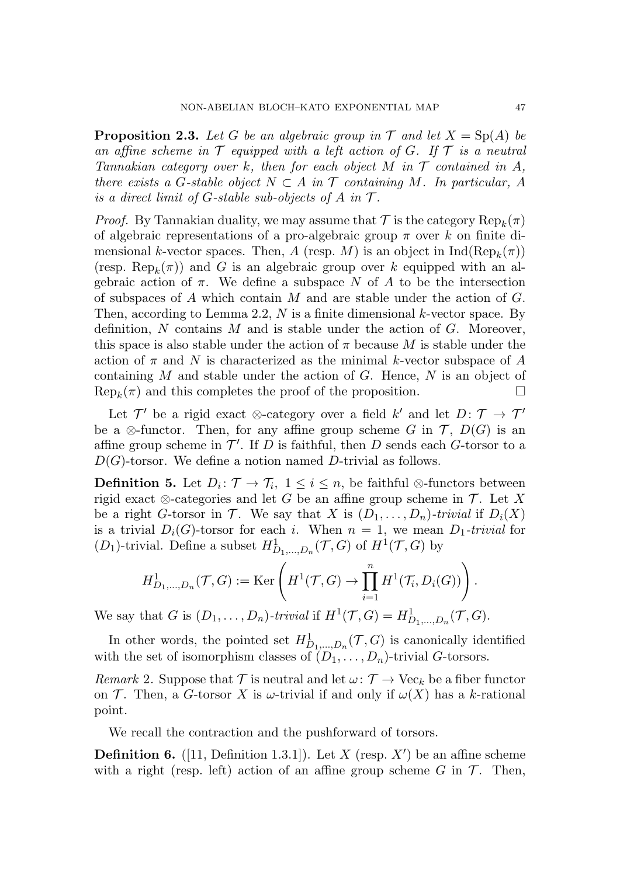**Proposition 2.3.** Let G be an algebraic group in  $\mathcal{T}$  and let  $X = Sp(A)$  be an affine scheme in  $\mathcal T$  equipped with a left action of G. If  $\mathcal T$  is a neutral Tannakian category over k, then for each object M in  $\mathcal T$  contained in A, there exists a G-stable object  $N \subset A$  in  $\mathcal T$  containing M. In particular, A is a direct limit of G-stable sub-objects of A in  $\mathcal T$ .

*Proof.* By Tannakian duality, we may assume that  $\mathcal T$  is the category  $\text{Rep}_k(\pi)$ of algebraic representations of a pro-algebraic group  $\pi$  over k on finite dimensional k-vector spaces. Then, A (resp. M) is an object in  $\text{Ind}(\text{Rep}_k(\pi))$ (resp. Rep<sub>k</sub> $(\pi)$ ) and G is an algebraic group over k equipped with an algebraic action of  $\pi$ . We define a subspace N of A to be the intersection of subspaces of A which contain M and are stable under the action of G. Then, according to Lemma 2.2,  $N$  is a finite dimensional  $k$ -vector space. By definition,  $N$  contains  $M$  and is stable under the action of  $G$ . Moreover, this space is also stable under the action of  $\pi$  because M is stable under the action of  $\pi$  and N is characterized as the minimal k-vector subspace of A containing  $M$  and stable under the action of  $G$ . Hence,  $N$  is an object of  $\text{Rep}_k(\pi)$  and this completes the proof of the proposition.

Let  $\mathcal{T}'$  be a rigid exact ⊗-category over a field k' and let  $D: \mathcal{T} \to \mathcal{T}'$ be a ⊗-functor. Then, for any affine group scheme G in  $\mathcal{T}$ ,  $D(G)$  is an affine group scheme in  $\mathcal{T}'$ . If D is faithful, then D sends each G-torsor to a  $D(G)$ -torsor. We define a notion named D-trivial as follows.

**Definition 5.** Let  $D_i: \mathcal{T} \to \mathcal{T}_i$ ,  $1 \leq i \leq n$ , be faithful ⊗-functors between rigid exact ⊗-categories and let G be an affine group scheme in  $\mathcal{T}$ . Let X be a right G-torsor in  $\mathcal{T}$ . We say that X is  $(D_1, \ldots, D_n)$ -trivial if  $D_i(X)$ is a trivial  $D_i(G)$ -torsor for each i. When  $n = 1$ , we mean  $D_1$ -trivial for  $(D_1)$ -trivial. Define a subset  $H^1_{D_1,...,D_n}(\mathcal{T}, G)$  of  $H^1(\mathcal{T}, G)$  by

$$
H^1_{D_1,\ldots,D_n}(\mathcal{T},G):=\mathrm{Ker}\left(H^1(\mathcal{T},G)\rightarrow \prod_{i=1}^n H^1(\mathcal{T}_i,D_i(G))\right).
$$

We say that G is  $(D_1, \ldots, D_n)$ -trivial if  $H^1(\mathcal{T}, G) = H^1_{D_1, \ldots, D_n}(\mathcal{T}, G)$ .

In other words, the pointed set  $H^1_{D_1,...,D_n}(\mathcal{T}, G)$  is canonically identified with the set of isomorphism classes of  $(D_1, \ldots, D_n)$ -trivial G-torsors.

Remark 2. Suppose that  $\mathcal T$  is neutral and let  $\omega: \mathcal T \to \text{Vec}_k$  be a fiber functor on T. Then, a G-torsor X is  $\omega$ -trivial if and only if  $\omega(X)$  has a k-rational point.

We recall the contraction and the pushforward of torsors.

**Definition 6.** ([11, Definition 1.3.1]). Let X (resp.  $X'$ ) be an affine scheme with a right (resp. left) action of an affine group scheme G in  $\mathcal T$ . Then,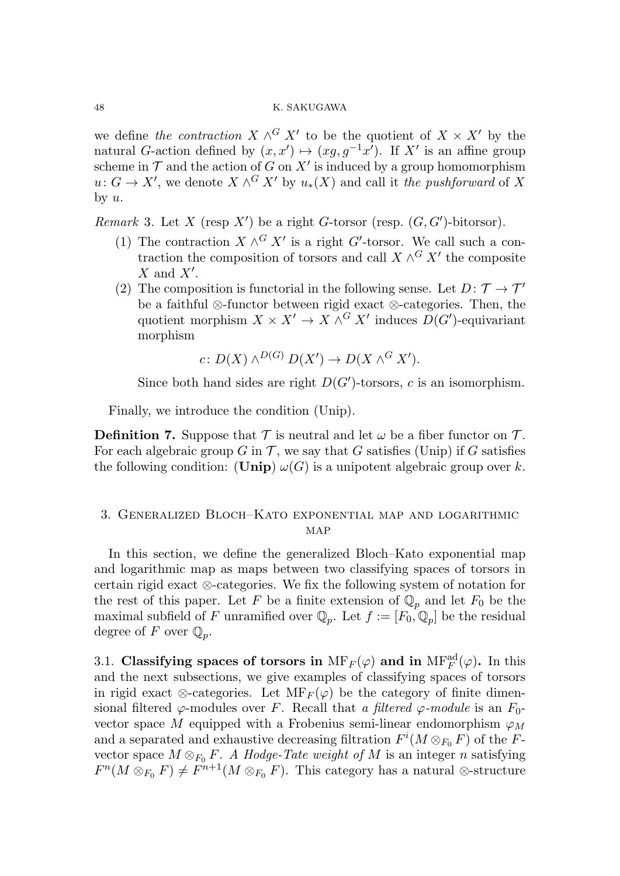we define the contraction  $X \wedge^G X'$  to be the quotient of  $X \times X'$  by the natural G-action defined by  $(x, x') \mapsto (xg, g^{-1}x')$ . If X' is an affine group scheme in  $\mathcal T$  and the action of G on X' is induced by a group homomorphism  $u: G \to X'$ , we denote  $X \wedge^G X'$  by  $u_*(X)$  and call it the pushforward of X by  $u$ .

*Remark* 3. Let X (resp X') be a right G-torsor (resp.  $(G, G')$ -bitorsor).

- (1) The contraction  $X \wedge^G X'$  is a right G'-torsor. We call such a contraction the composition of torsors and call  $X \wedge^G X'$  the composite X and  $X'$ .
- (2) The composition is functorial in the following sense. Let  $D: \mathcal{T} \to \mathcal{T}'$ be a faithful ⊗-functor between rigid exact ⊗-categories. Then, the quotient morphism  $X \times X' \to X \wedge^G X'$  induces  $D(G')$ -equivariant morphism

$$
c\colon D(X)\wedge^{D(G)} D(X')\to D(X\wedge^G X').
$$

Since both hand sides are right  $D(G')$ -torsors, c is an isomorphism.

Finally, we introduce the condition (Unip).

**Definition 7.** Suppose that  $\mathcal T$  is neutral and let  $\omega$  be a fiber functor on  $\mathcal T$ . For each algebraic group G in  $\mathcal T$ , we say that G satisfies (Unip) if G satisfies the following condition: (Unip)  $\omega(G)$  is a unipotent algebraic group over k.

# 3. Generalized Bloch–Kato exponential map and logarithmic MAP

In this section, we define the generalized Bloch–Kato exponential map and logarithmic map as maps between two classifying spaces of torsors in certain rigid exact ⊗-categories. We fix the following system of notation for the rest of this paper. Let F be a finite extension of  $\mathbb{Q}_p$  and let  $F_0$  be the maximal subfield of F unramified over  $\mathbb{Q}_p$ . Let  $f := [F_0, \mathbb{Q}_p]$  be the residual degree of F over  $\mathbb{Q}_p$ .

3.1. Classifying spaces of torsors in  $\mathrm{MF}_F(\varphi)$  and in  $\mathrm{MF}_F^{\mathrm{ad}}(\varphi)$ . In this and the next subsections, we give examples of classifying spaces of torsors in rigid exact ⊗-categories. Let  $MF_F(\varphi)$  be the category of finite dimensional filtered  $\varphi$ -modules over F. Recall that a filtered  $\varphi$ -module is an  $F_0$ vector space M equipped with a Frobenius semi-linear endomorphism  $\varphi_M$ and a separated and exhaustive decreasing filtration  $F^i(M \otimes_{F_0} F)$  of the Fvector space  $M \otimes_{F_0} F$ . A Hodge-Tate weight of M is an integer n satisfying  $F^n(M \otimes_{F_0} F) \neq F^{n+1}(M \otimes_{F_0} F)$ . This category has a natural  $\otimes$ -structure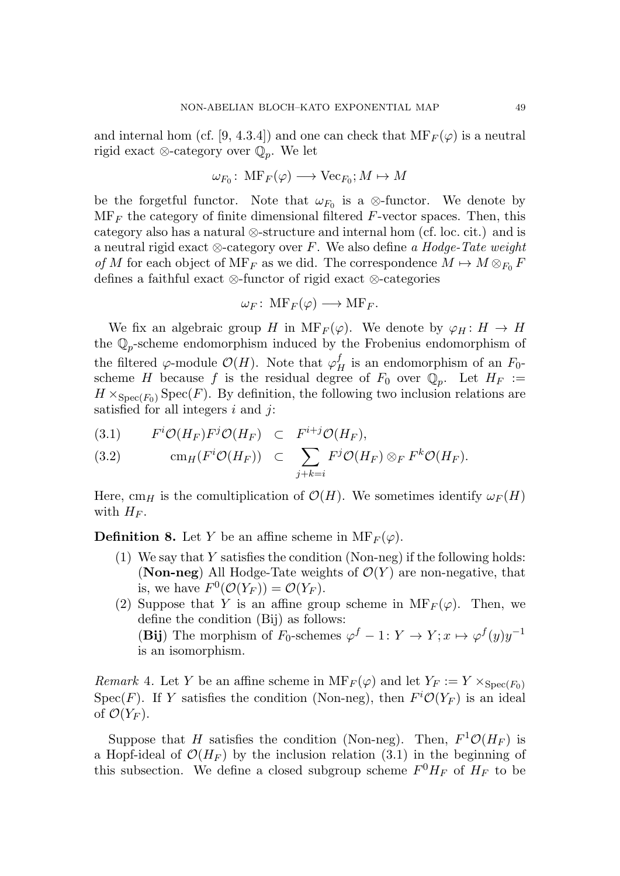and internal hom (cf. [9, 4.3.4]) and one can check that  $\text{MF}_F(\varphi)$  is a neutral rigid exact ⊗-category over  $\mathbb{Q}_p$ . We let

$$
\omega_{F_0}\colon \operatorname{MF}_F(\varphi)\longrightarrow \operatorname{Vec}_{F_0};M\mapsto M
$$

be the forgetful functor. Note that  $\omega_{F_0}$  is a ⊗-functor. We denote by  $\text{MF}_F$  the category of finite dimensional filtered F-vector spaces. Then, this category also has a natural ⊗-structure and internal hom (cf. loc. cit.) and is a neutral rigid exact  $\otimes$ -category over F. We also define a Hodge-Tate weight of M for each object of MF<sub>F</sub> as we did. The correspondence  $M \mapsto M \otimes_{F_0} F$ defines a faithful exact ⊗-functor of rigid exact ⊗-categories

$$
\omega_F\colon \operatorname{MF}_F(\varphi)\longrightarrow \operatorname{MF}_F.
$$

We fix an algebraic group H in  $\text{MF}_F(\varphi)$ . We denote by  $\varphi_H: H \to H$ the  $\mathbb{Q}_p$ -scheme endomorphism induced by the Frobenius endomorphism of the filtered  $\varphi$ -module  $\mathcal{O}(H)$ . Note that  $\varphi_H^f$  is an endomorphism of an  $F_0$ scheme H because f is the residual degree of  $F_0$  over  $\mathbb{Q}_p$ . Let  $H_F :=$  $H \times_{\text{Spec}(F_0)} \text{Spec}(F)$ . By definition, the following two inclusion relations are satisfied for all integers  $i$  and  $j$ :

$$
(3.1) \tF^i\mathcal{O}(H_F)F^j\mathcal{O}(H_F) \t\subset F^{i+j}\mathcal{O}(H_F),
$$

(3.2) 
$$
\operatorname{cm}_H(F^i\mathcal{O}(H_F)) \subset \sum_{j+k=i} F^j\mathcal{O}(H_F) \otimes_F F^k\mathcal{O}(H_F).
$$

Here, cm<sub>H</sub> is the comultiplication of  $\mathcal{O}(H)$ . We sometimes identify  $\omega_F(H)$ with  $H_F$ .

**Definition 8.** Let Y be an affine scheme in  $\text{MF}_F(\varphi)$ .

- (1) We say that Y satisfies the condition (Non-neg) if the following holds: (Non-neg) All Hodge-Tate weights of  $\mathcal{O}(Y)$  are non-negative, that is, we have  $F^0(\mathcal{O}(Y_F)) = \mathcal{O}(Y_F)$ .
- (2) Suppose that Y is an affine group scheme in  $\text{MF}_F(\varphi)$ . Then, we define the condition (Bij) as follows: (Bij) The morphism of  $F_0$ -schemes  $\varphi^f - 1: Y \to Y; x \mapsto \varphi^f(y)y^{-1}$ is an isomorphism.

Remark 4. Let Y be an affine scheme in  $\text{MF}_F(\varphi)$  and let  $Y_F := Y \times_{\text{Spec}(F_0)}$ Spec $(F)$ . If Y satisfies the condition (Non-neg), then  $F^i\mathcal{O}(Y_F)$  is an ideal of  $\mathcal{O}(Y_F)$ .

Suppose that H satisfies the condition (Non-neg). Then,  $F^1\mathcal{O}(H_F)$  is a Hopf-ideal of  $\mathcal{O}(H_F)$  by the inclusion relation (3.1) in the beginning of this subsection. We define a closed subgroup scheme  $F^0H_F$  of  $H_F$  to be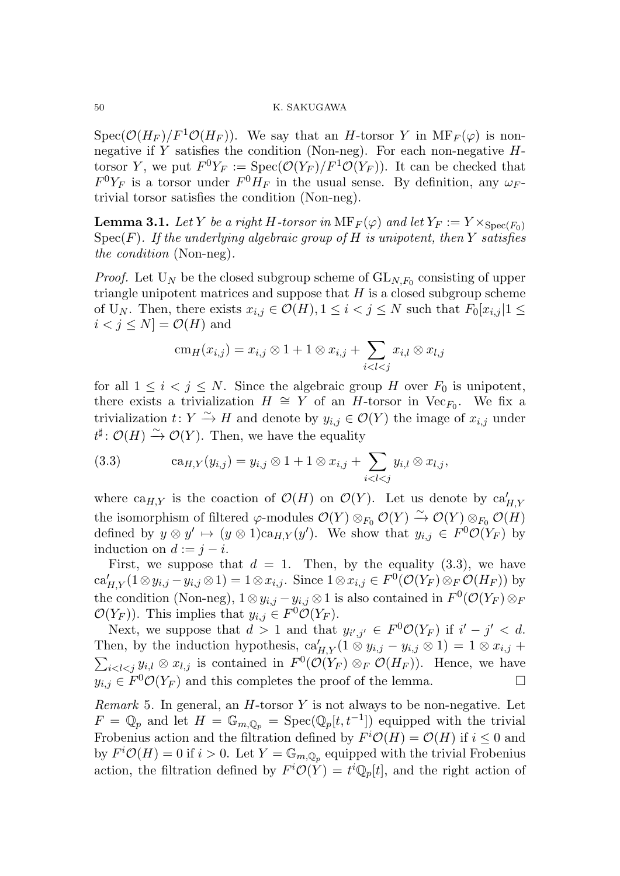$Spec(\mathcal{O}(H_F)/F^1\mathcal{O}(H_F))$ . We say that an H-torsor Y in  $\text{MF}_F(\varphi)$  is nonnegative if Y satisfies the condition (Non-neg). For each non-negative  $H$ torsor Y, we put  $F^0Y_F := \text{Spec}(\mathcal{O}(Y_F)/F^1\mathcal{O}(Y_F)).$  It can be checked that  $F^0Y_F$  is a torsor under  $F^0H_F$  in the usual sense. By definition, any  $\omega_F$ trivial torsor satisfies the condition (Non-neg).

**Lemma 3.1.** Let Y be a right H-torsor in  $\text{MF}_F(\varphi)$  and let  $Y_F := Y \times_{\text{Spec}(F_0)}$  $Spec(F)$ . If the underlying algebraic group of H is unipotent, then Y satisfies the condition (Non-neg).

*Proof.* Let  $U_N$  be the closed subgroup scheme of  $GL_{N,F_0}$  consisting of upper triangle unipotent matrices and suppose that  $H$  is a closed subgroup scheme of U<sub>N</sub>. Then, there exists  $x_{i,j} \in \mathcal{O}(H)$ ,  $1 \leq i < j \leq N$  such that  $F_0[x_{i,j}]$   $1 \leq j \leq N$  $i < j \leq N$  =  $\mathcal{O}(H)$  and

$$
\operatorname{cm}_H(x_{i,j})=x_{i,j}\otimes 1+1\otimes x_{i,j}+\sum_{i
$$

for all  $1 \leq i \leq j \leq N$ . Since the algebraic group H over  $F_0$  is unipotent, there exists a trivialization  $H \cong Y$  of an H-torsor in Vec<sub>F<sub>0</sub></sub>. We fix a trivialization  $t: Y \to H$  and denote by  $y_{i,j} \in \mathcal{O}(Y)$  the image of  $x_{i,j}$  under  $t^{\sharp}$ :  $\mathcal{O}(H) \xrightarrow{\sim} \mathcal{O}(Y)$ . Then, we have the equality

(3.3) 
$$
ca_{H,Y}(y_{i,j}) = y_{i,j} \otimes 1 + 1 \otimes x_{i,j} + \sum_{i < l < j} y_{i,l} \otimes x_{l,j},
$$

where  $\text{ca}_{H,Y}$  is the coaction of  $\mathcal{O}(H)$  on  $\mathcal{O}(Y)$ . Let us denote by  $\text{ca}'_{H,Y}$ the isomorphism of filtered  $\varphi$ -modules  $\mathcal{O}(Y) \otimes_{F_0} \mathcal{O}(Y) \xrightarrow{\sim} \mathcal{O}(Y) \otimes_{F_0} \mathcal{O}(H)$ defined by  $y \otimes y' \mapsto (y \otimes 1) \text{ca}_{H,Y}(y')$ . We show that  $y_{i,j} \in F^0\mathcal{O}(Y_F)$  by induction on  $d := j - i$ .

First, we suppose that  $d = 1$ . Then, by the equality (3.3), we have  $ca'_{H,Y}(1 \otimes y_{i,j} - y_{i,j} \otimes 1) = 1 \otimes x_{i,j}$ . Since  $1 \otimes x_{i,j} \in F^0(\mathcal{O}(Y_F) \otimes_F \mathcal{O}(H_F))$  by the condition (Non-neg),  $1 \otimes y_{i,j} - y_{i,j} \otimes 1$  is also contained in  $F^0(\mathcal{O}(Y_F) \otimes_F \mathcal{O}(Y_F))$  $\mathcal{O}(Y_F)$ ). This implies that  $y_{i,j} \in F^0\mathcal{O}(Y_F)$ .

Next, we suppose that  $d > 1$  and that  $y_{i',j'} \in F^0\mathcal{O}(Y_F)$  if  $i' - j' < d$ . Then, by the induction hypothesis,  $ca'_{H,Y}(1 \otimes y_{i,j} - y_{i,j} \otimes 1) = 1 \otimes x_{i,j} +$  $\sum_{i< l< j} y_{i,l} \otimes x_{l,j}$  is contained in  $F^0(\mathcal{O}(Y_F) \otimes_F \mathcal{O}(H_F))$ . Hence, we have  $y_{i,j} \in F^0\mathcal{O}(Y_F)$  and this completes the proof of the lemma.

*Remark* 5. In general, an  $H$ -torsor  $Y$  is not always to be non-negative. Let  $F = \mathbb{Q}_p$  and let  $H = \mathbb{G}_{m,\mathbb{Q}_p} = \text{Spec}(\mathbb{Q}_p[t, t^{-1}])$  equipped with the trivial Frobenius action and the filtration defined by  $F^i\mathcal{O}(H) = \mathcal{O}(H)$  if  $i \leq 0$  and by  $F^i\mathcal{O}(H) = 0$  if  $i > 0$ . Let  $Y = \mathbb{G}_{m,\mathbb{Q}_p}$  equipped with the trivial Frobenius action, the filtration defined by  $F^i\mathcal{O}(Y) = t^i \mathbb{Q}_p[t]$ , and the right action of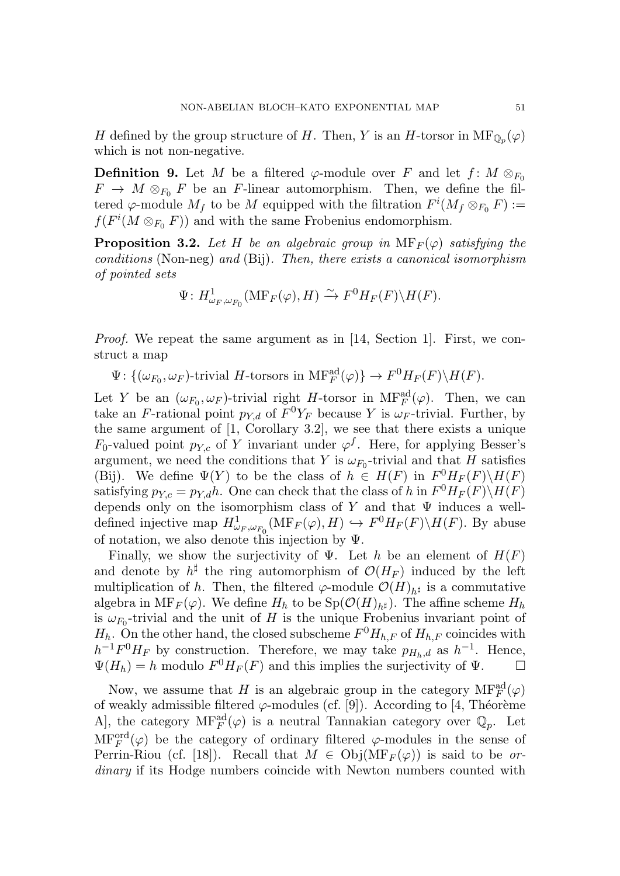H defined by the group structure of H. Then, Y is an H-torsor in  $\text{MF}_{\mathbb{Q}_p}(\varphi)$ which is not non-negative.

**Definition 9.** Let M be a filtered  $\varphi$ -module over F and let  $f: M \otimes_{F_0}$  $F \to M \otimes_{F_0} F$  be an F-linear automorphism. Then, we define the filtered  $\varphi$ -module  $M_f$  to be M equipped with the filtration  $F^i(M_f \otimes_{F_0} F) :=$  $f(F^{i}(M \otimes_{F_0} F))$  and with the same Frobenius endomorphism.

**Proposition 3.2.** Let H be an algebraic group in  $\text{MF}_F(\varphi)$  satisfying the conditions (Non-neg) and (Bij). Then, there exists a canonical isomorphism of pointed sets

$$
\Psi: H^1_{\omega_F, \omega_{F_0}}(\mathrm{MF}_F(\varphi), H) \xrightarrow{\sim} F^0 H_F(F) \backslash H(F).
$$

Proof. We repeat the same argument as in [14, Section 1]. First, we construct a map

 $\Psi: \{(\omega_{F_0}, \omega_F)$ -trivial H-torsors in  $\mathrm{MF}_F^{\mathrm{ad}}(\varphi)\}\to F^0H_F(F)\backslash H(F)$ .

Let Y be an  $(\omega_{F_0}, \omega_F)$ -trivial right H-torsor in  $\text{MF}_F^{\text{ad}}(\varphi)$ . Then, we can take an F-rational point  $p_{Y,d}$  of  $F^0Y_F$  because Y is  $\omega_F$ -trivial. Further, by the same argument of [1, Corollary 3.2], we see that there exists a unique  $F_0$ -valued point  $p_{Y,c}$  of Y invariant under  $\varphi^f$ . Here, for applying Besser's argument, we need the conditions that Y is  $\omega_{F_0}$ -trivial and that H satisfies (Bij). We define  $\Psi(Y)$  to be the class of  $h \in H(F)$  in  $F^0H_F(F)\backslash H(F)$ satisfying  $p_{Y,c} = p_{Y,d}h$ . One can check that the class of h in  $F^0H_F(F)\backslash H(F)$ depends only on the isomorphism class of Y and that  $\Psi$  induces a welldefined injective map  $H^1_{\omega_F,\omega_{F_0}}(\mathrm{MF}_F(\varphi),H) \hookrightarrow F^0H_F(F)\backslash H(F)$ . By abuse of notation, we also denote this injection by Ψ.

Finally, we show the surjectivity of  $\Psi$ . Let h be an element of  $H(F)$ and denote by  $h^{\sharp}$  the ring automorphism of  $\mathcal{O}(H_F)$  induced by the left multiplication of h. Then, the filtered  $\varphi$ -module  $\mathcal{O}(H)_{h\sharp}$  is a commutative algebra in  $\text{MF}_F(\varphi)$ . We define  $H_h$  to be  $\text{Sp}(\mathcal{O}(H)_{h^{\sharp}})$ . The affine scheme  $H_h$ is  $\omega_{F_0}$ -trivial and the unit of H is the unique Frobenius invariant point of  $H_h$ . On the other hand, the closed subscheme  $F^0H_{h,F}$  of  $H_{h,F}$  coincides with  $h^{-1}F^0H_F$  by construction. Therefore, we may take  $p_{H_h,d}$  as  $h^{-1}$ . Hence,  $\Psi(H_h) = h$  modulo  $F^0 H_F(F)$  and this implies the surjectivity of  $\Psi$ .

Now, we assume that H is an algebraic group in the category  $\text{MF}_F^{\text{ad}}(\varphi)$ of weakly admissible filtered  $\varphi$ -modules (cf. [9]). According to [4, Théorème A, the category  $\text{MF}_F^{\text{ad}}(\varphi)$  is a neutral Tannakian category over  $\mathbb{Q}_p$ . Let  $MF_F^{\text{ord}}(\varphi)$  be the category of ordinary filtered  $\varphi$ -modules in the sense of Perrin-Riou (cf. [18]). Recall that  $M \in Obj(MF_F(\varphi))$  is said to be ordinary if its Hodge numbers coincide with Newton numbers counted with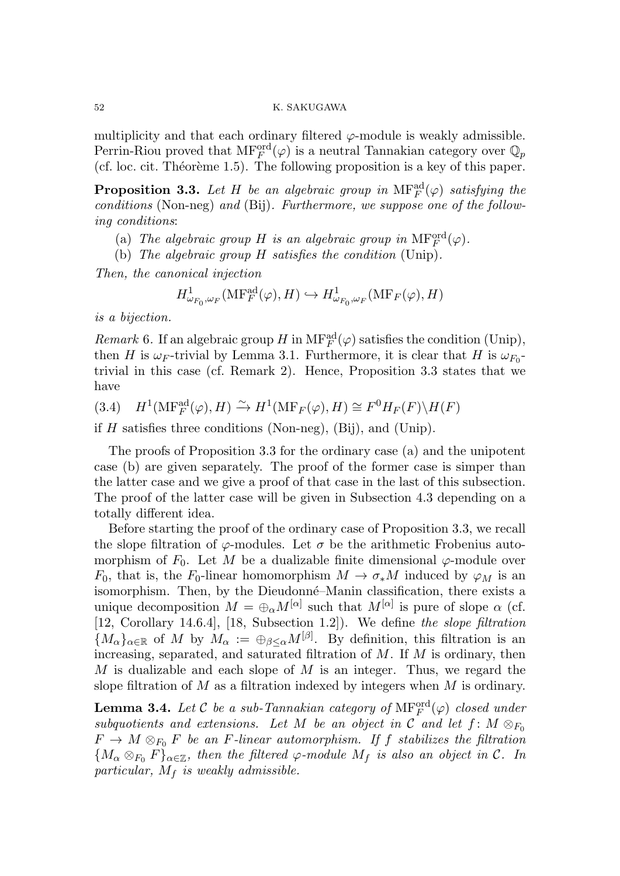multiplicity and that each ordinary filtered  $\varphi$ -module is weakly admissible. Perrin-Riou proved that  $\mathrm{MF}^{\text{ord}}_F(\varphi)$  is a neutral Tannakian category over  $\mathbb{Q}_p$  $(cf. loc. cit. Théorème 1.5). The following proposition is a key of this paper.$ 

**Proposition 3.3.** Let H be an algebraic group in  $\text{MF}_F^{\text{ad}}(\varphi)$  satisfying the conditions (Non-neg) and (Bij). Furthermore, we suppose one of the following conditions:

- (a) The algebraic group H is an algebraic group in  $\mathrm{MF}^{\mathrm{ord}}_F(\varphi)$ .
- (b) The algebraic group H satisfies the condition (Unip).

Then, the canonical injection

$$
H^1_{\omega_{F_0},\omega_F}(\mathrm{MF}^{\mathrm{ad}}_F(\varphi),H)\hookrightarrow H^1_{\omega_{F_0},\omega_F}(\mathrm{MF}_F(\varphi),H)
$$

is a bijection.

Remark 6. If an algebraic group H in  $\mathrm{MF}^{\mathrm{ad}}_F(\varphi)$  satisfies the condition (Unip), then H is  $\omega_F$ -trivial by Lemma 3.1. Furthermore, it is clear that H is  $\omega_{F_0}$ trivial in this case (cf. Remark 2). Hence, Proposition 3.3 states that we have

(3.4) 
$$
H^1(\text{MF}_F^{\text{ad}}(\varphi), H) \xrightarrow{\sim} H^1(\text{MF}_F(\varphi), H) \cong F^0H_F(F)\backslash H(F)
$$

if  $H$  satisfies three conditions (Non-neg), (Bij), and (Unip).

The proofs of Proposition 3.3 for the ordinary case (a) and the unipotent case (b) are given separately. The proof of the former case is simper than the latter case and we give a proof of that case in the last of this subsection. The proof of the latter case will be given in Subsection 4.3 depending on a totally different idea.

Before starting the proof of the ordinary case of Proposition 3.3, we recall the slope filtration of  $\varphi$ -modules. Let  $\sigma$  be the arithmetic Frobenius automorphism of  $F_0$ . Let M be a dualizable finite dimensional  $\varphi$ -module over  $F_0$ , that is, the  $F_0$ -linear homomorphism  $M \to \sigma_* M$  induced by  $\varphi_M$  is an isomorphism. Then, by the Dieudonné–Manin classification, there exists a unique decomposition  $M = \bigoplus_{\alpha} M^{[\alpha]}$  such that  $M^{[\alpha]}$  is pure of slope  $\alpha$  (cf. [12, Corollary 14.6.4], [18, Subsection 1.2]). We define the slope filtration  ${M_\alpha}_{\alpha\in\mathbb{R}}$  of M by  $M_\alpha := \bigoplus_{\beta\leq\alpha} M^{[\beta]}$ . By definition, this filtration is an increasing, separated, and saturated filtration of  $M$ . If  $M$  is ordinary, then M is dualizable and each slope of M is an integer. Thus, we regard the slope filtration of  $M$  as a filtration indexed by integers when  $M$  is ordinary.

**Lemma 3.4.** Let  $C$  be a sub-Tannakian category of  $MF_F^{ord}(\varphi)$  closed under subquotients and extensions. Let M be an object in  $\overrightarrow{C}$  and let  $f: M \otimes_{F_0}$  $F \to M \otimes_{F_0} F$  be an F-linear automorphism. If f stabilizes the filtration  ${M_\alpha \otimes_{F_0} F}_{\alpha \in \mathbb{Z}}$ , then the filtered  $\varphi$ -module  $M_f$  is also an object in C. In particular,  $M_f$  is weakly admissible.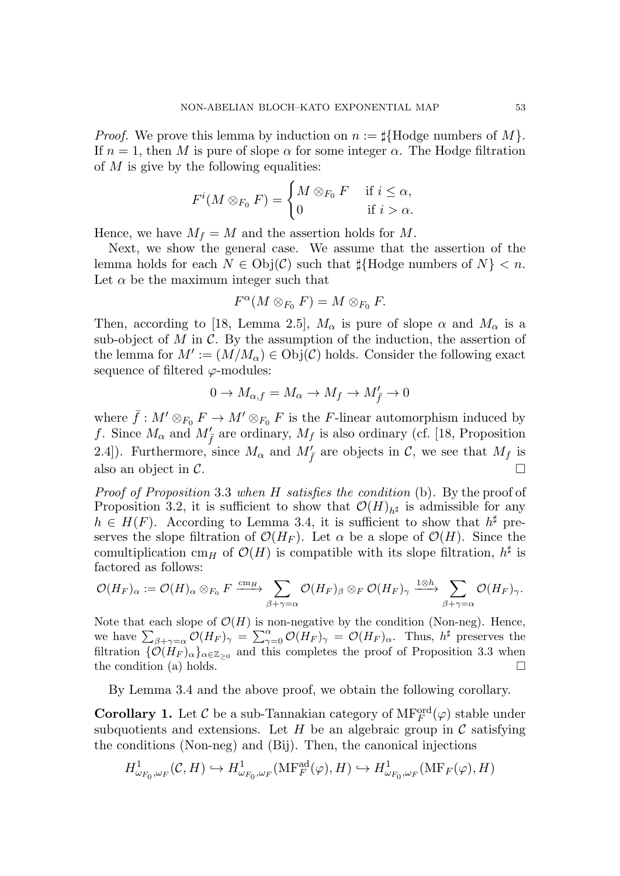*Proof.* We prove this lemma by induction on  $n := \sharp{\text{Hodge numbers of } M}$ . If  $n = 1$ , then M is pure of slope  $\alpha$  for some integer  $\alpha$ . The Hodge filtration of  $M$  is give by the following equalities:

$$
F^{i}(M \otimes_{F_0} F) = \begin{cases} M \otimes_{F_0} F & \text{if } i \leq \alpha, \\ 0 & \text{if } i > \alpha. \end{cases}
$$

Hence, we have  $M_f = M$  and the assertion holds for M.

Next, we show the general case. We assume that the assertion of the lemma holds for each  $N \in Obj(\mathcal{C})$  such that  $\sharp{\text{Hodge numbers of } N} < n$ . Let  $\alpha$  be the maximum integer such that

$$
F^{\alpha}(M \otimes_{F_0} F) = M \otimes_{F_0} F.
$$

Then, according to [18, Lemma 2.5],  $M_{\alpha}$  is pure of slope  $\alpha$  and  $M_{\alpha}$  is a sub-object of  $M$  in  $\mathcal{C}$ . By the assumption of the induction, the assertion of the lemma for  $M' := (M/M_\alpha) \in \mathrm{Obj}(\mathcal{C})$  holds. Consider the following exact sequence of filtered  $\varphi$ -modules:

$$
0 \to M_{\alpha,f} = M_{\alpha} \to M_f \to M'_{\bar{f}} \to 0
$$

where  $\bar{f}: M' \otimes_{F_0} F \to M' \otimes_{F_0} F$  is the F-linear automorphism induced by f. Since  $M_{\alpha}$  and  $M_{\overline{f}}'$  are ordinary,  $M_f$  is also ordinary (cf. [18, Proposition 2.4]). Furthermore, since  $M_{\alpha}$  and  $M_{\overline{f}}'$  are objects in C, we see that  $M_f$  is also an object in  $\mathcal{C}$ .

Proof of Proposition 3.3 when H satisfies the condition (b). By the proof of Proposition 3.2, it is sufficient to show that  $\mathcal{O}(H)_{h^{\sharp}}$  is admissible for any  $h \in H(F)$ . According to Lemma 3.4, it is sufficient to show that  $h^{\sharp}$  preserves the slope filtration of  $\mathcal{O}(H_F)$ . Let  $\alpha$  be a slope of  $\mathcal{O}(H)$ . Since the comultiplication cm<sub>H</sub> of  $\mathcal{O}(H)$  is compatible with its slope filtration,  $h^{\sharp}$  is factored as follows:

$$
\mathcal{O}(H_F)_{\alpha} := \mathcal{O}(H)_{\alpha} \otimes_{F_0} F \xrightarrow{\text{cm}_H} \sum_{\beta + \gamma = \alpha} \mathcal{O}(H_F)_{\beta} \otimes_F \mathcal{O}(H_F)_{\gamma} \xrightarrow{\text{1} \otimes h} \sum_{\beta + \gamma = \alpha} \mathcal{O}(H_F)_{\gamma}.
$$

Note that each slope of  $\mathcal{O}(H)$  is non-negative by the condition (Non-neg). Hence, we have  $\sum_{\beta+\gamma=\alpha} \mathcal{O}(H_F)_{\gamma} = \sum_{\gamma=0}^{\alpha} \mathcal{O}(H_F)_{\gamma} = \mathcal{O}(H_F)_{\alpha}$ . Thus,  $h^{\sharp}$  preserves the filtration  $\{\mathcal{O}(H_F)_{\alpha}\}_{{\alpha \in \mathbb{Z}_{\geq 0}}}$  and this completes the proof of Proposition 3.3 when the condition (a) holds.  $\square$ 

By Lemma 3.4 and the above proof, we obtain the following corollary.

**Corollary 1.** Let C be a sub-Tannakian category of  $MF_F^{ord}(\varphi)$  stable under subquotients and extensions. Let  $H$  be an algebraic group in  $\mathcal C$  satisfying the conditions (Non-neg) and (Bij). Then, the canonical injections

$$
H^1_{\omega_{F_0},\omega_F}(\mathcal{C},H) \hookrightarrow H^1_{\omega_{F_0},\omega_F}(\mathrm{MF}^{\mathrm{ad}}_F(\varphi),H) \hookrightarrow H^1_{\omega_{F_0},\omega_F}(\mathrm{MF}_F(\varphi),H)
$$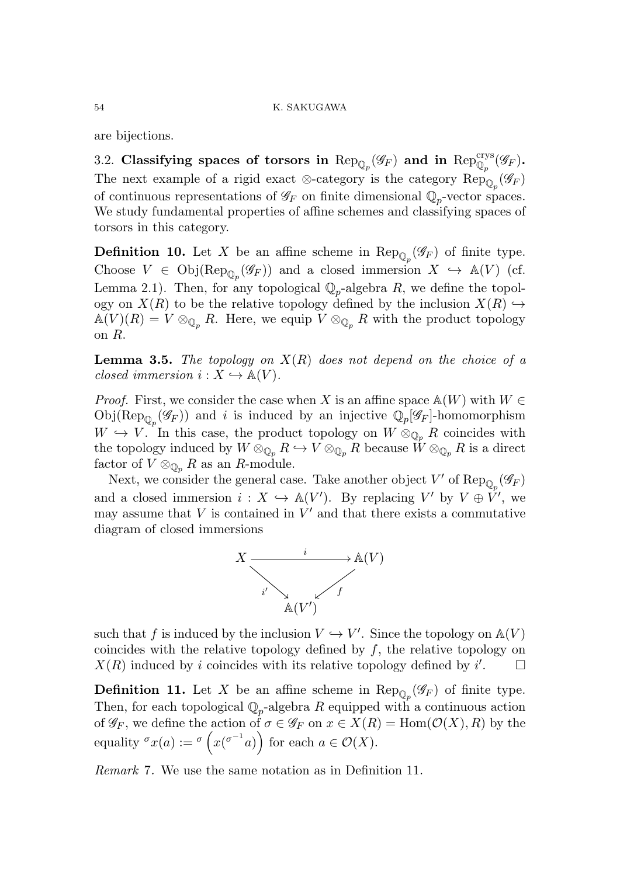are bijections.

3.2. Classifying spaces of torsors in  ${\rm Rep}_{\mathbb{Q}_p}(\mathscr{G}_F)$  and in  ${\rm Rep}_{\mathbb{Q}_p}^{\rm crys}(\mathscr{G}_F)$ . The next example of a rigid exact ⊗-category is the category  $\text{Rep}_{\mathbb{Q}_p}(\mathscr{G}_F)$ of continuous representations of  $\mathscr{G}_F$  on finite dimensional  $\mathbb{Q}_p$ -vector spaces. We study fundamental properties of affine schemes and classifying spaces of torsors in this category.

**Definition 10.** Let X be an affine scheme in  $\text{Rep}_{\mathbb{Q}_p}(\mathscr{G}_F)$  of finite type. Choose  $V \in \mathrm{Obj}(\mathrm{Rep}_{\mathbb{Q}_p}(\mathscr{G}_F))$  and a closed immersion  $X \hookrightarrow \mathbb{A}(V)$  (cf. Lemma 2.1). Then, for any topological  $\mathbb{Q}_p$ -algebra R, we define the topology on  $X(R)$  to be the relative topology defined by the inclusion  $X(R) \hookrightarrow$  $\mathbb{A}(V)(R) = V \otimes_{\mathbb{Q}_p} R$ . Here, we equip  $V \otimes_{\mathbb{Q}_p} R$  with the product topology on R.

**Lemma 3.5.** The topology on  $X(R)$  does not depend on the choice of a closed immersion  $i: X \hookrightarrow \mathbb{A}(V)$ .

*Proof.* First, we consider the case when X is an affine space  $\mathbb{A}(W)$  with  $W \in$  $\mathrm{Obj}(\mathrm{Rep}_{\mathbb{Q}_p}(\mathscr{G}_F))$  and i is induced by an injective  $\mathbb{Q}_p[\mathscr{G}_F]$ -homomorphism  $W \hookrightarrow V$ . In this case, the product topology on  $W \otimes_{\mathbb{Q}_p} R$  coincides with the topology induced by  $W \otimes_{\mathbb{Q}_p} R \hookrightarrow V \otimes_{\mathbb{Q}_p} R$  because  $W \otimes_{\mathbb{Q}_p} R$  is a direct factor of  $V \otimes_{\mathbb{Q}_p} R$  as an R-module.

Next, we consider the general case. Take another object  $V'$  of  $\mathrm{Rep}_{\mathbb{Q}_p}(\mathscr{G}_F)$ and a closed immersion  $i: X \hookrightarrow \mathbb{A}(V')$ . By replacing  $V'$  by  $V \oplus V'$ , we may assume that  $V$  is contained in  $V'$  and that there exists a commutative diagram of closed immersions



such that f is induced by the inclusion  $V \hookrightarrow V'$ . Since the topology on  $\mathbb{A}(V)$ coincides with the relative topology defined by  $f$ , the relative topology on  $X(R)$  induced by i coincides with its relative topology defined by i' . — П

**Definition 11.** Let X be an affine scheme in  $\text{Rep}_{\mathbb{Q}_p}(\mathscr{G}_F)$  of finite type. Then, for each topological  $\mathbb{Q}_p$ -algebra R equipped with a continuous action of  $\mathscr{G}_F$ , we define the action of  $\sigma \in \mathscr{G}_F$  on  $x \in X(R) = \text{Hom}(\mathcal{O}(X), R)$  by the equality  $^{\sigma}x(a) := \sigma\left(x(\sigma^{-1}a)\right)$  for each  $a \in \mathcal{O}(X)$ .

Remark 7. We use the same notation as in Definition 11.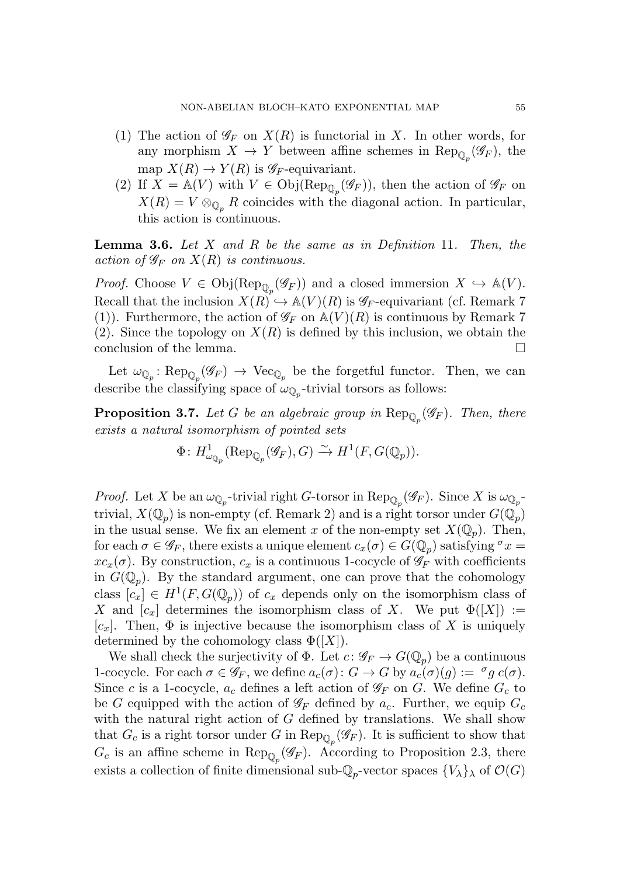- (1) The action of  $\mathscr{G}_F$  on  $X(R)$  is functorial in X. In other words, for any morphism  $X \to Y$  between affine schemes in  $\text{Rep}_{\mathbb{Q}_p}(\mathscr{G}_F)$ , the map  $X(R) \to Y(R)$  is  $\mathscr{G}_F$ -equivariant.
- (2) If  $X = \mathbb{A}(V)$  with  $V \in \mathrm{Obj}(\mathrm{Rep}_{\mathbb{Q}_p}(\mathscr{G}_F))$ , then the action of  $\mathscr{G}_F$  on  $X(R) = V \otimes_{\mathbb{Q}_n} R$  coincides with the diagonal action. In particular, this action is continuous.

**Lemma 3.6.** Let  $X$  and  $R$  be the same as in Definition 11. Then, the action of  $\mathscr{G}_F$  on  $X(R)$  is continuous.

*Proof.* Choose  $V \in \mathrm{Obj}(\mathrm{Rep}_{\mathbb{Q}_p}(\mathscr{G}_F))$  and a closed immersion  $X \hookrightarrow \mathbb{A}(V)$ . Recall that the inclusion  $X(R) \hookrightarrow \mathbb{A}(V)(R)$  is  $\mathscr{G}_F$ -equivariant (cf. Remark 7 (1)). Furthermore, the action of  $\mathscr{G}_F$  on  $\mathbb{A}(V)(R)$  is continuous by Remark 7 (2). Since the topology on  $X(R)$  is defined by this inclusion, we obtain the conclusion of the lemma.

Let  $\omega_{\mathbb{Q}_p}$ : Rep $_{\mathbb{Q}_p}(\mathscr{G}_F) \to \text{Vec}_{\mathbb{Q}_p}$  be the forgetful functor. Then, we can describe the classifying space of  $\omega_{\mathbb{Q}_p}$ -trivial torsors as follows:

**Proposition 3.7.** Let G be an algebraic group in  $\text{Rep}_{\mathbb{Q}_p}(\mathscr{G}_F)$ . Then, there exists a natural isomorphism of pointed sets

$$
\Phi: H^1_{\omega_{\mathbb{Q}_p}}(\text{Rep}_{\mathbb{Q}_p}(\mathscr{G}_F), G) \xrightarrow{\sim} H^1(F, G(\mathbb{Q}_p)).
$$

*Proof.* Let X be an  $\omega_{\mathbb{Q}_p}$ -trivial right G-torsor in  $\text{Rep}_{\mathbb{Q}_p}(\mathscr{G}_F)$ . Since X is  $\omega_{\mathbb{Q}_p}$ trivial,  $X(\mathbb{Q}_p)$  is non-empty (cf. Remark 2) and is a right torsor under  $G(\mathbb{Q}_p)$ in the usual sense. We fix an element x of the non-empty set  $X(\mathbb{Q}_p)$ . Then, for each  $\sigma \in \mathscr{G}_F$ , there exists a unique element  $c_x(\sigma) \in G(\mathbb{Q}_p)$  satisfying  $\sigma x =$  $xc_x(\sigma)$ . By construction,  $c_x$  is a continuous 1-cocycle of  $\mathscr{G}_F$  with coefficients in  $G(\mathbb{Q}_p)$ . By the standard argument, one can prove that the cohomology class  $[c_x] \in H^1(F, G(\mathbb{Q}_p))$  of  $c_x$  depends only on the isomorphism class of X and  $[c_x]$  determines the isomorphism class of X. We put  $\Phi([X]) :=$  $[c_x]$ . Then,  $\Phi$  is injective because the isomorphism class of X is uniquely determined by the cohomology class  $\Phi([X]).$ 

We shall check the surjectivity of  $\Phi$ . Let  $c: \mathscr{G}_F \to G(\mathbb{Q}_p)$  be a continuous 1-cocycle. For each  $\sigma \in \mathscr{G}_F$ , we define  $a_c(\sigma)$ :  $G \to G$  by  $a_c(\sigma)(g) := \sigma g c(\sigma)$ . Since c is a 1-cocycle,  $a_c$  defines a left action of  $\mathscr{G}_F$  on G. We define  $G_c$  to be G equipped with the action of  $\mathscr{G}_F$  defined by  $a_c$ . Further, we equip  $G_c$ with the natural right action of  $G$  defined by translations. We shall show that  $G_c$  is a right torsor under G in  $\text{Rep}_{\mathbb{Q}_p}(\mathscr{G}_F)$ . It is sufficient to show that  $G_c$  is an affine scheme in  $\text{Rep}_{\mathbb{Q}_p}(\mathscr{G}_F)$ . According to Proposition 2.3, there exists a collection of finite dimensional sub- $\mathbb{Q}_p$ -vector spaces  $\{V_\lambda\}_\lambda$  of  $\mathcal{O}(G)$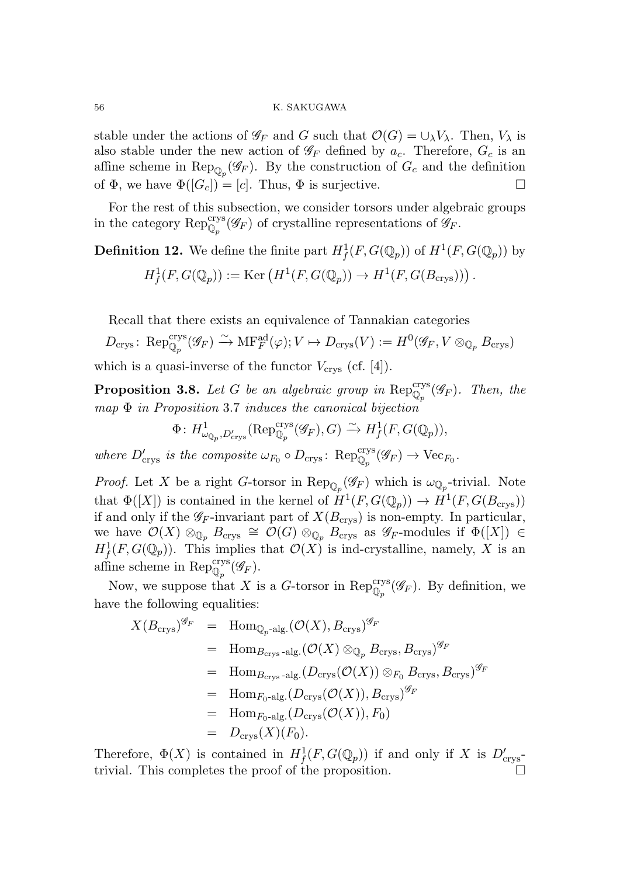stable under the actions of  $\mathscr{G}_F$  and G such that  $\mathcal{O}(G) = \cup_{\lambda} V_{\lambda}$ . Then,  $V_{\lambda}$  is also stable under the new action of  $\mathscr{G}_F$  defined by  $a_c$ . Therefore,  $G_c$  is an affine scheme in  $\text{Rep}_{\mathbb{Q}_p}(\mathscr{G}_F)$ . By the construction of  $G_c$  and the definition of  $\Phi$ , we have  $\Phi([G_c]) = [c]$ . Thus,  $\Phi$  is surjective.

For the rest of this subsection, we consider torsors under algebraic groups in the category  $\operatorname{Rep}_{\mathbb{Q}_p}^{\text{crys}}(\mathscr{G}_F)$  of crystalline representations of  $\mathscr{G}_F$ .

**Definition 12.** We define the finite part  $H^1_f(F, G(\mathbb{Q}_p))$  of  $H^1(F, G(\mathbb{Q}_p))$  by  $H^1_f(F, G(\mathbb{Q}_p)) := \text{Ker}\left(H^1(F, G(\mathbb{Q}_p)) \to H^1(F, G(B_{\text{crys}}))\right).$ 

Recall that there exists an equivalence of Tannakian categories

$$
D_{\text{crys}}\colon \operatorname{Rep}_{\mathbb{Q}_p}^{\text{crys}}(\mathscr{G}_F) \xrightarrow{\sim} \operatorname{MF}_F^{\text{ad}}(\varphi); V \mapsto D_{\text{crys}}(V) := H^0(\mathscr{G}_F, V \otimes_{\mathbb{Q}_p} B_{\text{crys}})
$$
  
which is a quasi-inverse of the functor  $V_{\text{crys}}$  (cf. [4]).

**Proposition 3.8.** Let G be an algebraic group in  $\text{Rep}_{\mathbb{Q}_p}^{\text{crys}}(\mathscr{G}_F)$ . Then, the  $map \Phi$  in Proposition 3.7 induces the canonical bijection

$$
\Phi: H^1_{\omega_{\mathbb{Q}_p}, D'_{\text{crys}}}(\text{Rep}_{\mathbb{Q}_p}^{\text{crys}}(\mathscr{G}_F), G) \xrightarrow{\sim} H^1_f(F, G(\mathbb{Q}_p)),
$$

where  $D'_{\text{crys}}$  is the composite  $\omega_{F_0} \circ D_{\text{crys}}$ :  $\text{Rep}_{\mathbb{Q}_p}^{\text{crys}}(\mathscr{G}_F) \to \text{Vec}_{F_0}$ .

*Proof.* Let X be a right G-torsor in  $\text{Rep}_{\mathbb{Q}_p}(\mathscr{G}_F)$  which is  $\omega_{\mathbb{Q}_p}$ -trivial. Note that  $\Phi([X])$  is contained in the kernel of  $H^1(F, G(\mathbb{Q}_p)) \to H^1(F, G(B_{\text{crys}}))$ if and only if the  $\mathscr{G}_F$ -invariant part of  $X(B_{\text{crys}})$  is non-empty. In particular, we have  $\mathcal{O}(X) \otimes_{\mathbb{Q}_p} B_{\text{crys}} \cong \mathcal{O}(G) \otimes_{\mathbb{Q}_p} B_{\text{crys}}$  as  $\mathscr{G}_F$ -modules if  $\Phi([X]) \in$  $H^1_f(F, G(\mathbb{Q}_p)).$  This implies that  $\mathcal{O}(X)$  is ind-crystalline, namely, X is an affine scheme in  $\operatorname{Rep}_{\mathbb{Q}_p}^{\mathrm{crys}}(\mathscr{G}_F)$ .

Now, we suppose that X is a G-torsor in  $\operatorname{Rep}_{\mathbb{Q}_p}^{\mathrm{crys}}(\mathscr{G}_F)$ . By definition, we have the following equalities:

$$
X(B_{\text{crys}})^{\mathscr{G}_F} = \text{Hom}_{\mathbb{Q}_p\text{-alg.}}(\mathcal{O}(X), B_{\text{crys}})^{\mathscr{G}_F}
$$
  
\n
$$
= \text{Hom}_{B_{\text{crys}}\text{-alg.}}(\mathcal{O}(X) \otimes_{\mathbb{Q}_p} B_{\text{crys}}, B_{\text{crys}})^{\mathscr{G}_F}
$$
  
\n
$$
= \text{Hom}_{B_{\text{crys}}\text{-alg.}}(D_{\text{crys}}(\mathcal{O}(X))) \otimes_{F_0} B_{\text{crys}}, B_{\text{crys}})^{\mathscr{G}_F}
$$
  
\n
$$
= \text{Hom}_{F_0\text{-alg.}}(D_{\text{crys}}(\mathcal{O}(X)), B_{\text{crys}})^{\mathscr{G}_F}
$$
  
\n
$$
= \text{Hom}_{F_0\text{-alg.}}(D_{\text{crys}}(\mathcal{O}(X)), F_0)
$$
  
\n
$$
= D_{\text{crys}}(X)(F_0).
$$

Therefore,  $\Phi(X)$  is contained in  $H^1_f(F, G(\mathbb{Q}_p))$  if and only if X is  $D'_{\text{crys}}$ trivial. This completes the proof of the proposition.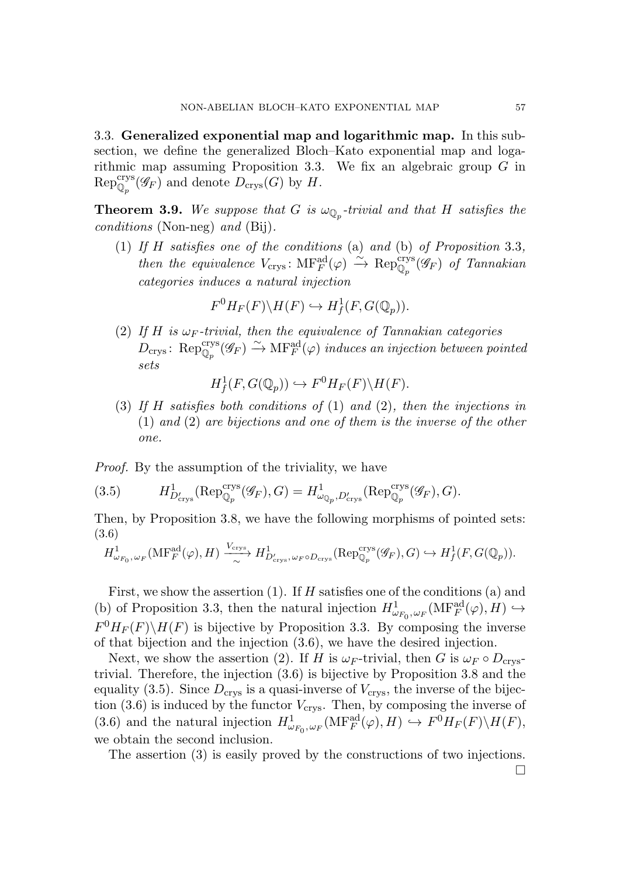3.3. Generalized exponential map and logarithmic map. In this subsection, we define the generalized Bloch–Kato exponential map and logarithmic map assuming Proposition 3.3. We fix an algebraic group  $G$  in  $\operatorname{Rep}_{\mathbb{Q}_p}^{\text{crys}}(\mathscr{G}_F)$  and denote  $D_{\text{crys}}(G)$  by  $H$ .

**Theorem 3.9.** We suppose that G is  $\omega_{\mathbb{Q}_p}$ -trivial and that H satisfies the conditions (Non-neg) and (Bij).

(1) If H satisfies one of the conditions (a) and (b) of Proposition 3.3, then the equivalence  $V_{\text{crys}}\colon \mathrm{MF}^{\mathrm{ad}}_F(\varphi) \xrightarrow{\sim} \mathrm{Rep}_{\mathbb{Q}_p}^{\mathrm{crys}}(\mathscr{G}_F)$  of Tannakian categories induces a natural injection

$$
F^0H_F(F)\backslash H(F)\hookrightarrow H^1_f(F,G(\mathbb{Q}_p)).
$$

(2) If H is  $\omega_F$ -trivial, then the equivalence of Tannakian categories  $D_{\text{crys}}\colon \operatorname{Rep}_{\mathbb{Q}_p}^{\text{crys}}(\mathscr{G}_F) \xrightarrow{\sim} \operatorname{MF}^{\operatorname{ad}}_F(\varphi)$  induces an injection between pointed sets

$$
H^1_f(F, G(\mathbb{Q}_p)) \hookrightarrow F^0H_F(F)\backslash H(F).
$$

(3) If H satisfies both conditions of (1) and (2), then the injections in (1) and (2) are bijections and one of them is the inverse of the other one.

Proof. By the assumption of the triviality, we have

(3.5) 
$$
H_{D'_{\text{crys}}}^1(\text{Rep}_{\mathbb{Q}_p}^{\text{crys}}(\mathscr{G}_F), G) = H_{\omega_{\mathbb{Q}_p}, D'_{\text{crys}}}^1(\text{Rep}_{\mathbb{Q}_p}^{\text{crys}}(\mathscr{G}_F), G).
$$

Then, by Proposition 3.8, we have the following morphisms of pointed sets: (3.6)

$$
H^1_{\omega_{F_0}, \omega_F}(\mathrm{MF}^{\mathrm{ad}}_F(\varphi), H) \xrightarrow[\sim]{V_{\mathrm{crys}}} H^1_{D'_{\mathrm{crys}}, \omega_F \circ D_{\mathrm{crys}}}(\mathrm{Rep}^{\mathrm{crys}}_{\mathbb{Q}_p}(\mathscr{G}_F), G) \hookrightarrow H^1_f(F, G(\mathbb{Q}_p)).
$$

First, we show the assertion  $(1)$ . If H satisfies one of the conditions  $(a)$  and (b) of Proposition 3.3, then the natural injection  $H^1_{\omega_{F_0}, \omega_F}(\text{MF}^{\text{ad}}_F(\varphi), H) \hookrightarrow$  $F^0H_F(F)\backslash H(F)$  is bijective by Proposition 3.3. By composing the inverse of that bijection and the injection (3.6), we have the desired injection.

Next, we show the assertion (2). If H is  $\omega_F$ -trivial, then G is  $\omega_F \circ D_{\text{crys}}$ trivial. Therefore, the injection (3.6) is bijective by Proposition 3.8 and the equality (3.5). Since  $D_{\text{crys}}$  is a quasi-inverse of  $V_{\text{crys}}$ , the inverse of the bijection  $(3.6)$  is induced by the functor  $V_{\text{crys}}$ . Then, by composing the inverse of (3.6) and the natural injection  $H^1_{\omega_{F_0}, \omega_F}(\text{MF}^{\text{ad}}_F(\varphi), H) \hookrightarrow F^0H_F(F)\backslash H(F)$ , we obtain the second inclusion.

The assertion (3) is easily proved by the constructions of two injections.

 $\Box$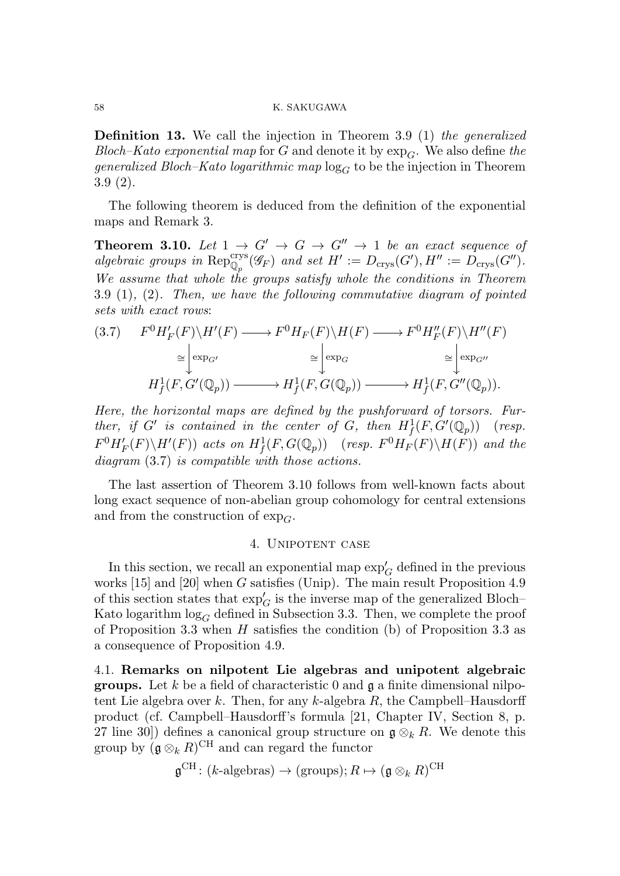Definition 13. We call the injection in Theorem 3.9 (1) the generalized Bloch–Kato exponential map for G and denote it by  $\exp_{G}$ . We also define the generalized Bloch–Kato logarithmic map  $log_G$  to be the injection in Theorem 3.9 (2).

The following theorem is deduced from the definition of the exponential maps and Remark 3.

**Theorem 3.10.** Let  $1 \rightarrow G' \rightarrow G \rightarrow G'' \rightarrow 1$  be an exact sequence of algebraic groups in  $\operatorname{Rep}_{\mathbb{Q}_p}^{\mathrm{crys}}(\mathscr{G}_F)$  and set  $H':=D_{\mathrm{crys}}(G'), H'':=D_{\mathrm{crys}}(G'').$ We assume that whole the groups satisfy whole the conditions in Theorem 3.9 (1), (2). Then, we have the following commutative diagram of pointed sets with exact rows:

$$
(3.7) \quad F^{0}H'_{F}(F)\backslash H'(F) \longrightarrow F^{0}H_{F}(F)\backslash H(F) \longrightarrow F^{0}H''_{F}(F)\backslash H''(F)
$$

$$
\cong \begin{vmatrix} \exp_{G'} & \cong \end{vmatrix} \exp_{G} \cong \begin{vmatrix} \exp_{G'} & \cong \end{vmatrix} \exp_{G''}
$$

$$
H_{f}^{1}(F, G'(\mathbb{Q}_{p})) \longrightarrow H_{f}^{1}(F, G(\mathbb{Q}_{p})) \longrightarrow H_{f}^{1}(F, G''(\mathbb{Q}_{p})).
$$

Here, the horizontal maps are defined by the pushforward of torsors. Further, if G' is contained in the center of G, then  $H^1_f(F, G'(\mathbb{Q}_p))$  (resp.  $F^0H'_F(F)\backslash H'(F)$  acts on  $H^1_f(F, G(\mathbb{Q}_p))$  (resp.  $F^0H_F(F)\backslash H(F)$ ) and the diagram (3.7) is compatible with those actions.

The last assertion of Theorem 3.10 follows from well-known facts about long exact sequence of non-abelian group cohomology for central extensions and from the construction of  $\exp_{G}$ .

## 4. Unipotent case

In this section, we recall an exponential map  $\exp_G'$  defined in the previous works [15] and [20] when G satisfies (Unip). The main result Proposition 4.9 of this section states that  $\exp_G'$  is the inverse map of the generalized Bloch– Kato logarithm  $log<sub>G</sub>$  defined in Subsection 3.3. Then, we complete the proof of Proposition 3.3 when H satisfies the condition (b) of Proposition 3.3 as a consequence of Proposition 4.9.

4.1. Remarks on nilpotent Lie algebras and unipotent algebraic **groups.** Let k be a field of characteristic 0 and  $\mathfrak{g}$  a finite dimensional nilpotent Lie algebra over k. Then, for any k-algebra  $R$ , the Campbell–Hausdorff product (cf. Campbell–Hausdorff's formula [21, Chapter IV, Section 8, p. 27 line 30) defines a canonical group structure on  $\mathfrak{g} \otimes_k R$ . We denote this group by  $(\mathfrak{g} \otimes_k R)^{\mathrm{CH}}$  and can regard the functor

$$
\mathfrak{g}^{\rm CH} \colon (k\text{-algebras}) \to (\text{groups}); R \mapsto (\mathfrak{g} \otimes_k R)^{\rm CH}
$$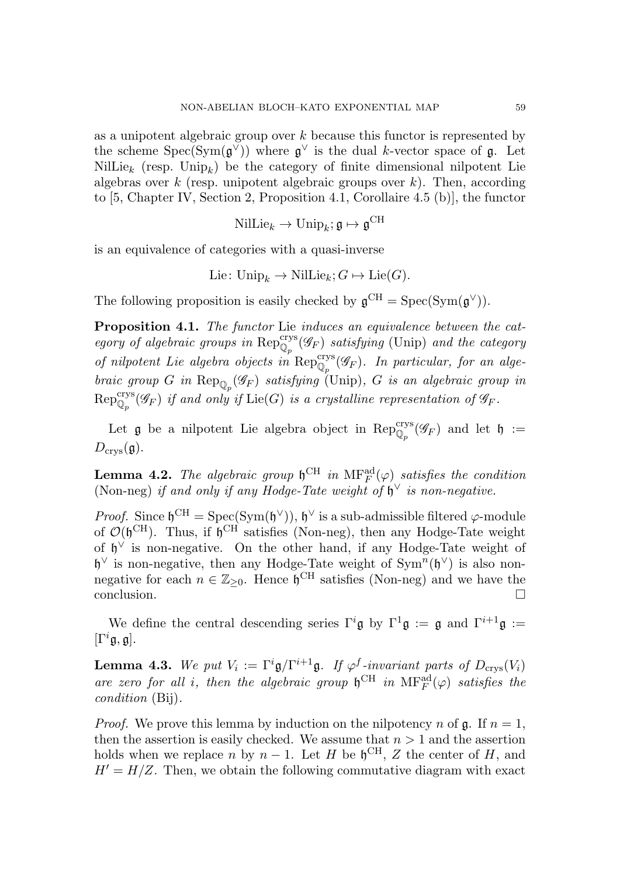as a unipotent algebraic group over  $k$  because this functor is represented by the scheme  $Spec(Sym(\mathfrak{g}^{\vee}))$  where  $\mathfrak{g}^{\vee}$  is the dual k-vector space of  $\mathfrak{g}$ . Let NilLie<sub>k</sub> (resp. Unip<sub>k</sub>) be the category of finite dimensional nilpotent Lie algebras over k (resp. unipotent algebraic groups over  $k$ ). Then, according to [5, Chapter IV, Section 2, Proposition 4.1, Corollaire 4.5 (b)], the functor

$$
\text{NilLie}_k \to \text{Unip}_k; \mathfrak{g} \mapsto \mathfrak{g}^{\text{CH}}
$$

is an equivalence of categories with a quasi-inverse

$$
\mathrm{Lie}\colon \mathrm{Unip}_k\rightarrow \mathrm{NilLie}_k; G\mapsto \mathrm{Lie}(G).
$$

The following proposition is easily checked by  $\mathfrak{g}^{\text{CH}} = \text{Spec}(\text{Sym}(\mathfrak{g}^{\vee}))$ .

Proposition 4.1. The functor Lie induces an equivalence between the category of algebraic groups in  $\operatorname{Rep}_{\mathbb{Q}_p}^{\text{crys}}(\mathscr{G}_F)$  satisfying (Unip) and the category of nilpotent Lie algebra objects in  $\operatorname{Rep}_{\mathbb{Q}_p}^{\mathrm{crys}}(\mathscr{G}_F)$ . In particular, for an algebraic group G in  $\text{Rep}_{\mathbb{Q}_p}(\mathscr{G}_F)$  satisfying (Unip), G is an algebraic group in  $\operatorname{Rep}_{\mathbb{Q}_p}^{\text{crys}}(\mathscr{G}_F)$  if and only if  $\operatorname{Lie}(G)$  is a crystalline representation of  $\mathscr{G}_F$ .

Let  $\mathfrak g$  be a nilpotent Lie algebra object in  $\operatorname{Rep}_{\mathbb Q_p}^{\rm crys}(\mathscr G_F)$  and let  $\mathfrak h :=$  $D_{\text{crys}}(\mathfrak{g}).$ 

**Lemma 4.2.** The algebraic group  $\mathfrak{h}^{\text{CH}}$  in  $\text{MF}_F^{\text{ad}}(\varphi)$  satisfies the condition (Non-neg) if and only if any Hodge-Tate weight of  $\mathfrak{h}^{\vee}$  is non-negative.

*Proof.* Since  $\mathfrak{h}^{\text{CH}} = \text{Spec}(\text{Sym}(\mathfrak{h}^{\vee}))$ ,  $\mathfrak{h}^{\vee}$  is a sub-admissible filtered  $\varphi$ -module of  $\mathcal{O}(\mathfrak{h}^{\text{CH}})$ . Thus, if  $\mathfrak{h}^{\text{CH}}$  satisfies (Non-neg), then any Hodge-Tate weight of  $\mathfrak{h}^{\vee}$  is non-negative. On the other hand, if any Hodge-Tate weight of  $\mathfrak{h}^{\vee}$  is non-negative, then any Hodge-Tate weight of Sym<sup>n</sup>( $\mathfrak{h}^{\vee}$ ) is also nonnegative for each  $n \in \mathbb{Z}_{\geq 0}$ . Hence  $\mathfrak{h}^{\mathrm{CH}}$  satisfies (Non-neg) and we have the conclusion.

We define the central descending series  $\Gamma^i\mathfrak{g}$  by  $\Gamma^1\mathfrak{g} := \mathfrak{g}$  and  $\Gamma^{i+1}\mathfrak{g} :=$  $[\Gamma^i \mathfrak{g}, \mathfrak{g}].$ 

**Lemma 4.3.** We put  $V_i := \Gamma^i \mathfrak{g} / \Gamma^{i+1} \mathfrak{g}$ . If  $\varphi^f$ -invariant parts of  $D_{\text{crys}}(V_i)$ are zero for all i, then the algebraic group  $\mathfrak{h}^{\text{CH}}$  in  $\text{MF}_F^{\text{ad}}(\varphi)$  satisfies the condition (Bij).

*Proof.* We prove this lemma by induction on the nilpotency n of  $\mathfrak{g}$ . If  $n = 1$ , then the assertion is easily checked. We assume that  $n > 1$  and the assertion holds when we replace n by  $n-1$ . Let H be  $\mathfrak{h}^{\text{CH}}$ , Z the center of H, and  $H' = H/Z$ . Then, we obtain the following commutative diagram with exact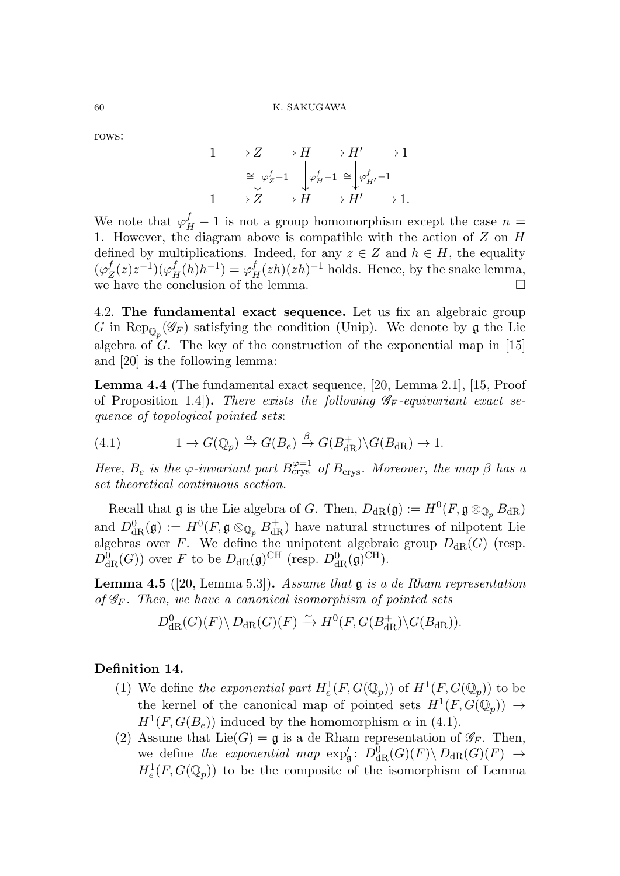rows:

$$
\begin{array}{c}\n1 \longrightarrow Z \longrightarrow H \longrightarrow H' \longrightarrow 1 \\
\cong \bigcup_{\varphi Z} f_{Z} - 1 \quad \bigcup_{\varphi H} f_{H} - 1 \cong \bigcup_{\varphi H'} f_{H'} - 1 \\
1 \longrightarrow Z \longrightarrow H \longrightarrow H' \longrightarrow 1.\n\end{array}
$$

We note that  $\varphi_H^f - 1$  is not a group homomorphism except the case  $n =$ 1. However, the diagram above is compatible with the action of  $Z$  on  $H$ defined by multiplications. Indeed, for any  $z \in Z$  and  $h \in H$ , the equality  $(\varphi^f_2$  $Z_Z^f(z)z^{-1}(\varphi_H^f(h)h^{-1}) = \varphi_H^f(zh)(zh)^{-1}$  holds. Hence, by the snake lemma, we have the conclusion of the lemma.  $\Box$ 

4.2. The fundamental exact sequence. Let us fix an algebraic group G in  $\text{Rep}_{\mathbb{Q}_p}(\mathscr{G}_F)$  satisfying the condition (Unip). We denote by  $\mathfrak g$  the Lie algebra of G. The key of the construction of the exponential map in [15] and [20] is the following lemma:

Lemma 4.4 (The fundamental exact sequence, [20, Lemma 2.1], [15, Proof of Proposition 1.4.). There exists the following  $\mathscr{G}_F$ -equivariant exact sequence of topological pointed sets:

(4.1) 
$$
1 \to G(\mathbb{Q}_p) \xrightarrow{\alpha} G(B_e) \xrightarrow{\beta} G(B_{\text{dR}}^+) \backslash G(B_{\text{dR}}) \to 1.
$$

Here,  $B_e$  is the  $\varphi$ -invariant part  $B_{\text{crys}}^{\varphi=1}$  of  $B_{\text{crys}}$ . Moreover, the map  $\beta$  has a set theoretical continuous section.

Recall that **g** is the Lie algebra of G. Then,  $D_{\text{dR}}(\mathfrak{g}) := H^0(F, \mathfrak{g} \otimes_{\mathbb{Q}_p} B_{\text{dR}})$ and  $D_{\text{dR}}^0(\mathfrak{g}) := H^0(F, \mathfrak{g} \otimes_{\mathbb{Q}_p} B_{\text{dR}}^+)$  have natural structures of nilpotent Lie algebras over F. We define the unipotent algebraic group  $D_{dR}(G)$  (resp.  $D_{\text{dR}}^{0}(G)$  over F to be  $D_{\text{dR}}(\mathfrak{g})^{\text{CH}}$  (resp.  $D_{\text{dR}}^{0}(\mathfrak{g})^{\text{CH}}$ ).

**Lemma 4.5** ([20, Lemma 5.3]). Assume that  $\mathfrak{g}$  is a de Rham representation of  $\mathscr{G}_F$ . Then, we have a canonical isomorphism of pointed sets

$$
D_{\text{dR}}^0(G)(F) \backslash D_{\text{dR}}(G)(F) \xrightarrow{\sim} H^0(F, G(B_{\text{dR}}^+) \backslash G(B_{\text{dR}})).
$$

## Definition 14.

- (1) We define the exponential part  $H_e^1(F, G(\mathbb{Q}_p))$  of  $H^1(F, G(\mathbb{Q}_p))$  to be the kernel of the canonical map of pointed sets  $H^1(F, G(\mathbb{Q}_p)) \to$  $H^1(F, G(B_e))$  induced by the homomorphism  $\alpha$  in (4.1).
- (2) Assume that  $Lie(G) = \mathfrak{g}$  is a de Rham representation of  $\mathscr{G}_F$ . Then, we define the exponential map  $\exp'_{\mathfrak{g}}: D^0_{\rm dR}(G)(F) \backslash D_{\rm dR}(G)(F) \rightarrow$  $H_e^1(F, G(\mathbb{Q}_p))$  to be the composite of the isomorphism of Lemma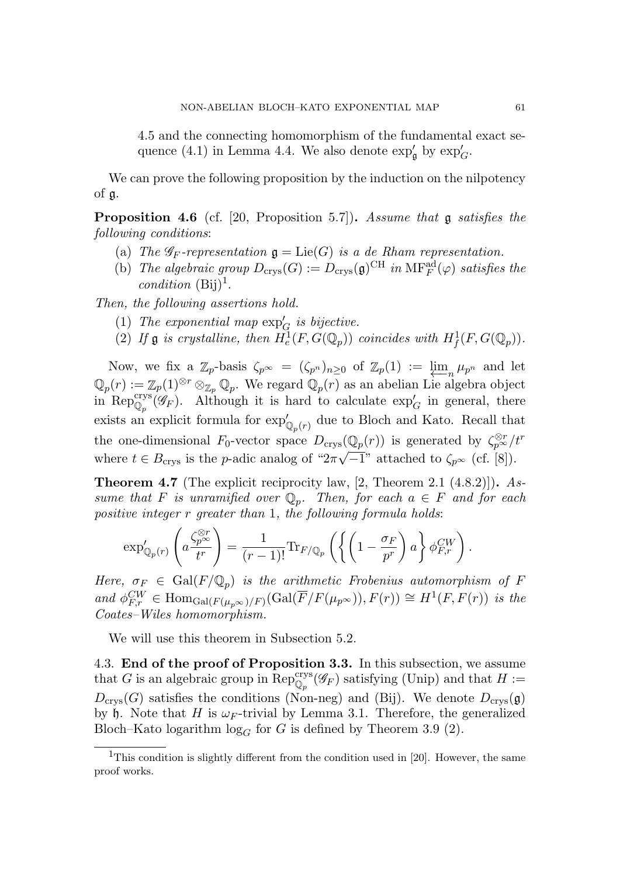4.5 and the connecting homomorphism of the fundamental exact sequence  $(4.1)$  in Lemma 4.4. We also denote  $\exp'_{\mathfrak{g}}$  by  $\exp'_{G}$ .

We can prove the following proposition by the induction on the nilpotency of g.

Proposition 4.6 (cf. [20, Proposition 5.7]). Assume that g satisfies the following conditions:

- (a) The  $\mathscr{G}_F$ -representation  $\mathfrak{g} = \text{Lie}(G)$  is a de Rham representation.
- (b) The algebraic group  $D_{\text{crys}}(G) := D_{\text{crys}}(\mathfrak{g})^{\text{CH}}$  in  $\text{MF}_F^{\text{ad}}(\varphi)$  satisfies the *condition*  $(Bij)^1$ .

Then, the following assertions hold.

- (1) The exponential map  $\exp'_{\mathcal{G}}$  is bijective.
- (2) If **g** is crystalline, then  $H_e^1(F, G(\mathbb{Q}_p))$  coincides with  $H_f^1(F, G(\mathbb{Q}_p))$ .

Now, we fix a  $\mathbb{Z}_p$ -basis  $\zeta_{p^\infty} = (\zeta_{p^n})_{n \geq 0}$  of  $\mathbb{Z}_p(1) := \varprojlim_n \mu_{p^n}$  and let  $(x) := \pi$  (1)  $\otimes r \otimes \mathbb{Z}_p$ . We record  $\mathbb{Q}_p(x)$  as an abelian Lie algebra object  $\mathbb{Q}_p(r) := \mathbb{Z}_p(1)^{\otimes r} \otimes_{\mathbb{Z}_p} \mathbb{Q}_p.$  We regard  $\mathbb{Q}_p(r)$  as an abelian Lie algebra object in Rep $_{\mathbb{Q}_p}^{\mathrm{crys}}(\mathscr{G}_F)$ . Although it is hard to calculate  $\exp'_G$  in general, there exists an explicit formula for  $\exp'_{\mathbb{Q}_p(r)}$  due to Bloch and Kato. Recall that the one-dimensional  $F_0$ -vector space  $D_{\text{crys}}(\mathbb{Q}_p(r))$  is generated by  $\zeta_{p^{\infty}}^{\otimes r}/t^r$ where  $t \in B_{\text{crys}}$  is the *p*-adic analog of " $2\pi\sqrt{-1}$ " attached to  $\zeta_{p^\infty}$  (cf. [8]).

**Theorem 4.7** (The explicit reciprocity law, [2, Theorem 2.1  $(4.8.2)$ ]). Assume that F is unramified over  $\mathbb{Q}_p$ . Then, for each  $a \in F$  and for each positive integer r greater than 1, the following formula holds:

$$
\exp'_{\mathbb{Q}_p(r)}\left(a\frac{\zeta_{p^\infty}^{\otimes r}}{t^r}\right) = \frac{1}{(r-1)!}\text{Tr}_{F/\mathbb{Q}_p}\left(\left\{\left(1-\frac{\sigma_F}{p^r}\right)a\right\}\phi_{F,r}^{CW}\right).
$$

Here,  $\sigma_F \in \text{Gal}(F/\mathbb{Q}_p)$  is the arithmetic Frobenius automorphism of F and  $\phi_{F,r}^{CW} \in \text{Hom}_{\text{Gal}(F(\mu_{p^{\infty}})/F)}(\text{Gal}(\overline{F}/F(\mu_{p^{\infty}})), F(r)) \cong H^1(F, F(r))$  is the Coates–Wiles homomorphism.

We will use this theorem in Subsection 5.2.

4.3. End of the proof of Proposition 3.3. In this subsection, we assume that G is an algebraic group in  $\mathrm{Rep}_{\mathbb{Q}_p}^{\mathrm{crys}}(\mathscr{G}_F)$  satisfying (Unip) and that  $H :=$  $D_{\text{crys}}(G)$  satisfies the conditions (Non-neg) and (Bij). We denote  $D_{\text{crys}}(\mathfrak{g})$ by h. Note that H is  $\omega_F$ -trivial by Lemma 3.1. Therefore, the generalized Bloch–Kato logarithm  $log_G$  for G is defined by Theorem 3.9 (2).

<sup>&</sup>lt;sup>1</sup>This condition is slightly different from the condition used in [20]. However, the same proof works.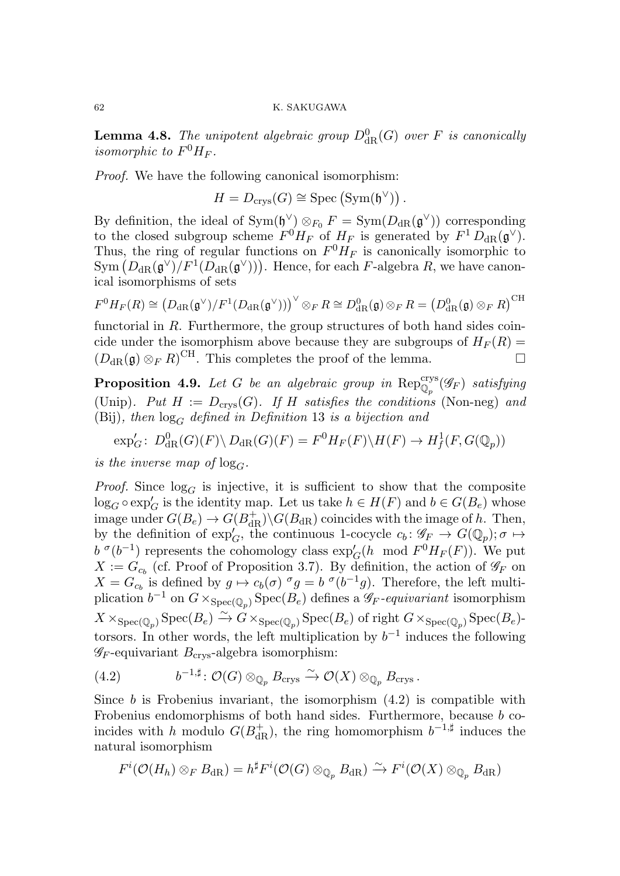**Lemma 4.8.** The unipotent algebraic group  $D_{\text{dR}}^0(G)$  over F is canonically isomorphic to  $F^0H_F$ .

Proof. We have the following canonical isomorphism:

$$
H = D_{\text{crys}}(G) \cong \text{Spec} (\text{Sym}(\mathfrak{h}^{\vee})) .
$$

By definition, the ideal of  $Sym(\mathfrak{h}^{\vee}) \otimes_{F_0} F = Sym(D_{dR}(\mathfrak{g}^{\vee}))$  corresponding to the closed subgroup scheme  $F^0H_F$  of  $H_F$  is generated by  $F^1D_{dR}(\mathfrak{g}^{\vee})$ . Thus, the ring of regular functions on  $F^0H_F$  is canonically isomorphic to  $\text{Sym}(D_{\text{dR}}(\mathfrak{g}^{\vee})/F^1(D_{\text{dR}}(\mathfrak{g}^{\vee})))$ . Hence, for each F-algebra R, we have canonical isomorphisms of sets

$$
F^0H_F(R) \cong (D_{\rm dR}(\mathfrak{g}^{\vee})/F^1(D_{\rm dR}(\mathfrak{g}^{\vee})))^{\vee} \otimes_F R \cong D_{\rm dR}^0(\mathfrak{g}) \otimes_F R = (D_{\rm dR}^0(\mathfrak{g}) \otimes_F R)^{\rm CH}
$$

functorial in R. Furthermore, the group structures of both hand sides coincide under the isomorphism above because they are subgroups of  $H_F(R)$  =  $(D_{\rm dR}(\mathfrak{g}) \otimes_F R)^{\rm CH}$ . This completes the proof of the lemma.

**Proposition 4.9.** Let G be an algebraic group in  $\text{Rep}_{\mathbb{Q}_p}^{\text{crys}}(\mathscr{G}_F)$  satisfying (Unip). Put  $H := D_{\text{crys}}(G)$ . If H satisfies the conditions (Non-neg) and (Bij), then  $log_G$  defined in Definition 13 is a bijection and

$$
\exp'_{G}: D^0_{\text{dR}}(G)(F) \backslash D_{\text{dR}}(G)(F) = F^0 H_F(F) \backslash H(F) \to H^1_f(F, G(\mathbb{Q}_p))
$$

is the inverse map of  $log<sub>G</sub>$ .

*Proof.* Since  $log_G$  is injective, it is sufficient to show that the composite  $\log_G \circ \exp'_G$  is the identity map. Let us take  $h \in H(F)$  and  $b \in G(B_e)$  whose image under  $G(B_e) \to G(B_{\rm dR}^+) \backslash G(B_{\rm dR})$  coincides with the image of h. Then, by the definition of  $\exp'_G$ , the continuous 1-cocycle  $c_b \colon \mathscr{G}_F \to G(\mathbb{Q}_p); \sigma \mapsto$  $b^{\sigma} (b^{-1})$  represents the cohomology class  $\exp'_{G}(h \mod F^0 H_F(F))$ . We put  $X := G_{c_b}$  (cf. Proof of Proposition 3.7). By definition, the action of  $\mathscr{G}_F$  on  $X = G_{c_b}$  is defined by  $g \mapsto c_b(\sigma)$   $\sigma_g = b \sigma(b^{-1}g)$ . Therefore, the left multiplication  $b^{-1}$  on  $G \times_{Spec(\mathbb{Q}_p)} Spec(B_e)$  defines a  $\mathscr{G}_F$ -equivariant isomorphism  $X \times_{\text{Spec}(\mathbb{Q}_p)} \text{Spec}(B_e) \xrightarrow{\sim} G \times_{\text{Spec}(\mathbb{Q}_p)} \text{Spec}(B_e)$  of right  $G \times_{\text{Spec}(\mathbb{Q}_p)} \text{Spec}(B_e)$ torsors. In other words, the left multiplication by  $b^{-1}$  induces the following  $\mathscr{G}_F$ -equivariant  $B_{\text{crys}}$ -algebra isomorphism:

(4.2) 
$$
b^{-1,\sharp} \colon \mathcal{O}(G) \otimes_{\mathbb{Q}_p} B_{\text{crys}} \xrightarrow{\sim} \mathcal{O}(X) \otimes_{\mathbb{Q}_p} B_{\text{crys}}.
$$

Since b is Frobenius invariant, the isomorphism  $(4.2)$  is compatible with Frobenius endomorphisms of both hand sides. Furthermore, because b coincides with h modulo  $G(B_{\text{dR}}^+)$ , the ring homomorphism  $b^{-1,\sharp}$  induces the natural isomorphism

$$
F^i(\mathcal{O}(H_h)\otimes_F B_{\mathrm{dR}})=h^{\sharp}F^i(\mathcal{O}(G)\otimes_{\mathbb{Q}_p} B_{\mathrm{dR}})\xrightarrow{\sim} F^i(\mathcal{O}(X)\otimes_{\mathbb{Q}_p} B_{\mathrm{dR}})
$$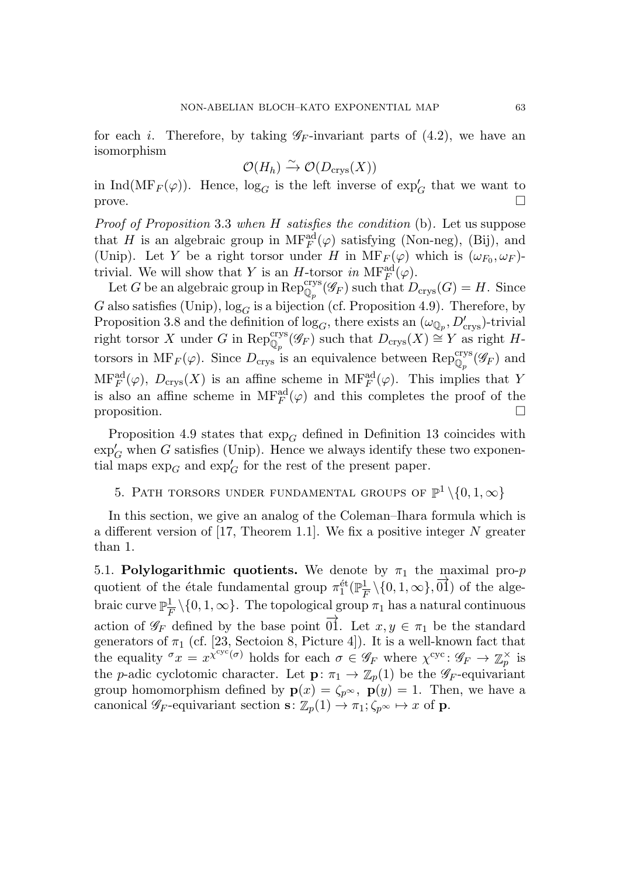for each *i*. Therefore, by taking  $\mathscr{G}_F$ -invariant parts of (4.2), we have an isomorphism

$$
\mathcal{O}(H_h) \xrightarrow{\sim} \mathcal{O}(D_{\text{crys}}(X))
$$

in Ind( $MF_F(\varphi)$ ). Hence,  $log_G$  is the left inverse of  $exp'_G$  that we want to  $\Box$ 

Proof of Proposition 3.3 when H satisfies the condition (b). Let us suppose that H is an algebraic group in  $\mathrm{MF}^{\mathrm{ad}}_F(\varphi)$  satisfying (Non-neg), (Bij), and (Unip). Let Y be a right torsor under H in  $\text{MF}_F(\varphi)$  which is  $(\omega_{F_0}, \omega_F)$ trivial. We will show that Y is an  $H_1$ -torsor in  $\text{MF}_F^{\text{ad}}(\varphi)$ .

Let G be an algebraic group in  $\operatorname{Rep}_{\mathbb{Q}_p}^{\text{crys}}(\mathscr{G}_F)$  such that  $D_{\text{crys}}(G) = H$ . Since G also satisfies (Unip),  $log_G$  is a bijection (cf. Proposition 4.9). Therefore, by Proposition 3.8 and the definition of  $log_G$ , there exists an  $(\omega_{\mathbb{Q}_p}, D_{\text{crys}}')$ -trivial right torsor X under G in  $\text{Rep}_{\mathbb{Q}_p}^{\text{crys}}(\mathscr{G}_F)$  such that  $D_{\text{crys}}(X) \cong Y$  as right Htorsors in  $\text{MF}_F(\varphi)$ . Since  $D_{\text{crys}}$  is an equivalence between  $\text{Rep}_{\mathbb{Q}_p}^{\text{crys}}(\mathscr{G}_F)$  and  $\text{MF}_F^{\text{ad}}(\varphi)$ ,  $D_{\text{crys}}(X)$  is an affine scheme in  $\text{MF}_F^{\text{ad}}(\varphi)$ . This implies that Y is also an affine scheme in  $\mathrm{MF}^{\mathrm{ad}}_F(\varphi)$  and this completes the proof of the proposition.

Proposition 4.9 states that  $\exp_G$  defined in Definition 13 coincides with  $\exp_G'$  when G satisfies (Unip). Hence we always identify these two exponential maps  $\exp_G$  and  $\exp'_G$  for the rest of the present paper.

# 5. PATH TORSORS UNDER FUNDAMENTAL GROUPS OF  $\mathbb{P}^1 \setminus \{0, 1, \infty\}$

In this section, we give an analog of the Coleman–Ihara formula which is a different version of [17, Theorem 1.1]. We fix a positive integer N greater than 1.

5.1. Polylogarithmic quotients. We denote by  $\pi_1$  the maximal pro-p quotient of the étale fundamental group  $\pi_1^{\text{\'et}}(\mathbb{P}^1_{\overline{f}})$  $\frac{1}{F}\backslash\{0,1,\infty\},\overrightarrow{01})$  of the algebraic curve  $\mathbb{P}^1_{\overline{F}}$  $\frac{1}{F}\setminus\{0, 1, \infty\}$ . The topological group  $\pi_1$  has a natural continuous action of  $\mathscr{G}_F$  defined by the base point  $\overrightarrow{01}$ . Let  $x, y \in \pi_1$  be the standard generators of  $\pi_1$  (cf. [23, Sectoion 8, Picture 4]). It is a well-known fact that the equality  $\sigma_x = x^{\chi^{cyc}(\sigma)}$  holds for each  $\sigma \in \mathscr{G}_F$  where  $\chi^{cyc} \colon \mathscr{G}_F \to \mathbb{Z}_p^{\times}$  is the *p*-adic cyclotomic character. Let  $\mathbf{p} : \pi_1 \to \mathbb{Z}_p(1)$  be the  $\mathscr{G}_F$ -equivariant group homomorphism defined by  $\mathbf{p}(x) = \zeta_{p^{\infty}}, \mathbf{p}(y) = 1$ . Then, we have a canonical  $\mathscr{G}_F$ -equivariant section  $\mathbf{s}: \mathbb{Z}_p(1) \to \pi_1; \zeta_{p^{\infty}} \mapsto x$  of  $\mathbf{p}$ .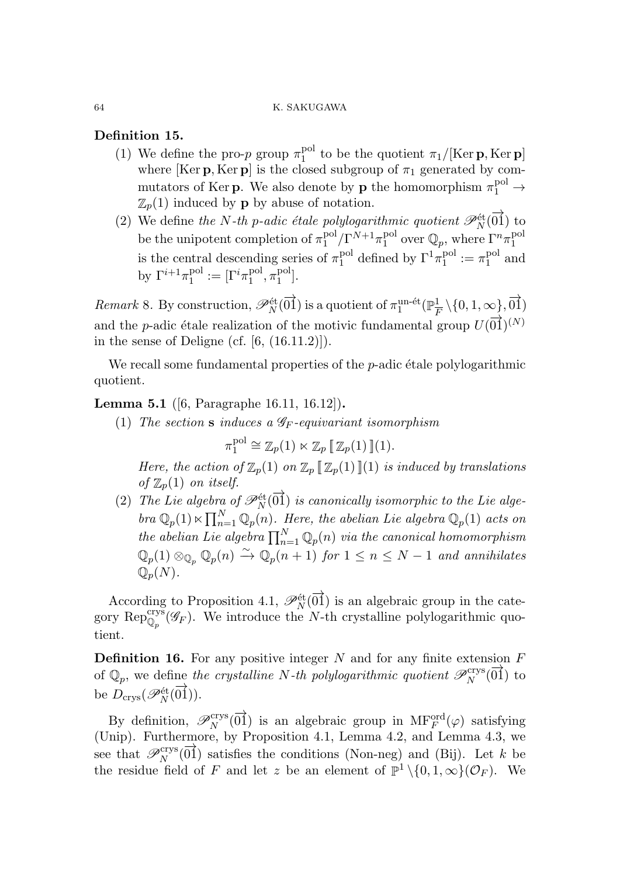# Definition 15.

- (1) We define the pro-*p* group  $\pi_1^{\text{pol}}$  $1<sup>1</sup>$  to be the quotient  $\pi_1/[\text{Ker }p,\text{Ker }p]$ where [Ker p, Ker p] is the closed subgroup of  $\pi_1$  generated by commutators of Ker **p**. We also denote by **p** the homomorphism  $\pi_1^{\text{pol}} \to$  $\mathbb{Z}_p(1)$  induced by **p** by abuse of notation.
- (2) We define the N-th p-adic étale polylogarithmic quotient  $\mathscr{P}_N^{\text{\'et}}(\overrightarrow{01})$  to be the unipotent completion of  $\pi_1^{\text{pol}}$  $\int_1^{\text{pol}} / \Gamma^{N+1} \pi_1^{\text{pol}}$ <sup>pol</sup> over  $\mathbb{Q}_p$ , where  $\Gamma^n \pi_1^{\text{pol}}$ 1 is the central descending series of  $\pi_1^{\text{pol}}$ <sup>pol</sup> defined by  $\Gamma^1 \pi_1^{\text{pol}}$  $i_1^{\text{pol}} := \pi_1^{\text{pol}}$  $1<sup>1</sup>$  and by  $\Gamma^{i+1} \pi_1^{\text{pol}}$  $1^{\text{pol}} := [\Gamma^i \pi_1^{\text{pol}}]$  $_{1}^{\mathrm{pol}}, \pi_{1}^{\mathrm{pol}}$  $\begin{bmatrix} 1 \\ 1 \end{bmatrix}$ .

Remark 8. By construction,  $\mathscr{P}_N^{\text{\'et}}(\overrightarrow{01})$  is a quotient of  $\pi_1^{\text{un-\'et}}(\mathbb{P}^1_{\overline{I}})$  $\frac{1}{F}\backslash\{0,1,\infty\}, \overrightarrow{01})$ and the p-adic étale realization of the motivic fundamental group  $U(\overrightarrow{01})^{(N)}$ in the sense of Deligne (cf.  $[6, (16.11.2)]$ ).

We recall some fundamental properties of the  $p$ -adic étale polylogarithmic quotient.

# Lemma 5.1 ([6, Paragraphe 16.11, 16.12]).

(1) The section s induces a  $\mathscr{G}_F$ -equivariant isomorphism

 $\pi_1^{\rm pol}$  $\mathbb{Z}_p^{(1)} \cong \mathbb{Z}_p(1) \ltimes \mathbb{Z}_p[\![\mathbb{Z}_p(1)]\!](1).$ 

Here, the action of  $\mathbb{Z}_p(1)$  on  $\mathbb{Z}_p[\![\mathbb{Z}_p(1)]\!](1)$  is induced by translations of  $\mathbb{Z}_p(1)$  on itself.

(2) The Lie algebra of  $\mathscr{P}_N^{\text{\'et}}(\overrightarrow{01})$  is canonically isomorphic to the Lie algebra  $\mathbb{Q}_p(1) \ltimes \prod_{n=1}^N \mathbb{Q}_p(n)$ . Here, the abelian Lie algebra  $\mathbb{Q}_p(1)$  acts on the abelian Lie algebra  $\prod_{n=1}^{N} \mathbb{Q}_p(n)$  via the canonical homomorphism  $\mathbb{Q}_p(1) \otimes_{\mathbb{Q}_p} \mathbb{Q}_p(n) \xrightarrow{\sim} \mathbb{Q}_p(n+1)$  for  $1 \leq n \leq N-1$  and annihilates  $\mathbb{Q}_p(N)$ .

According to Proposition 4.1,  $\mathscr{P}_N^{\text{\'et}}(\overrightarrow{01})$  is an algebraic group in the category Rep $_{\mathbb{Q}_p}^{\mathrm{crys}}(\mathscr{G}_F)$ . We introduce the N-th crystalline polylogarithmic quotient.

**Definition 16.** For any positive integer  $N$  and for any finite extension  $F$ of  $\mathbb{Q}_p$ , we define the crystalline N-th polylogarithmic quotient  $\mathscr{P}_N^{\text{crys}}(\overrightarrow{01})$  to be  $D_{\text{crys}}(\mathscr{P}_N^{\text{\'et}}(\overrightarrow{01})).$ 

By definition,  $\mathscr{P}_N^{\text{crys}}(\overrightarrow{01})$  is an algebraic group in  $\text{MF}_F^{\text{ord}}(\varphi)$  satisfying (Unip). Furthermore, by Proposition 4.1, Lemma 4.2, and Lemma 4.3, we see that  $\mathscr{P}_N^{\text{crys}}(\overrightarrow{01})$  satisfies the conditions (Non-neg) and (Bij). Let k be the residue field of F and let z be an element of  $\mathbb{P}^1 \setminus \{0, 1, \infty\}(\mathcal{O}_F)$ . We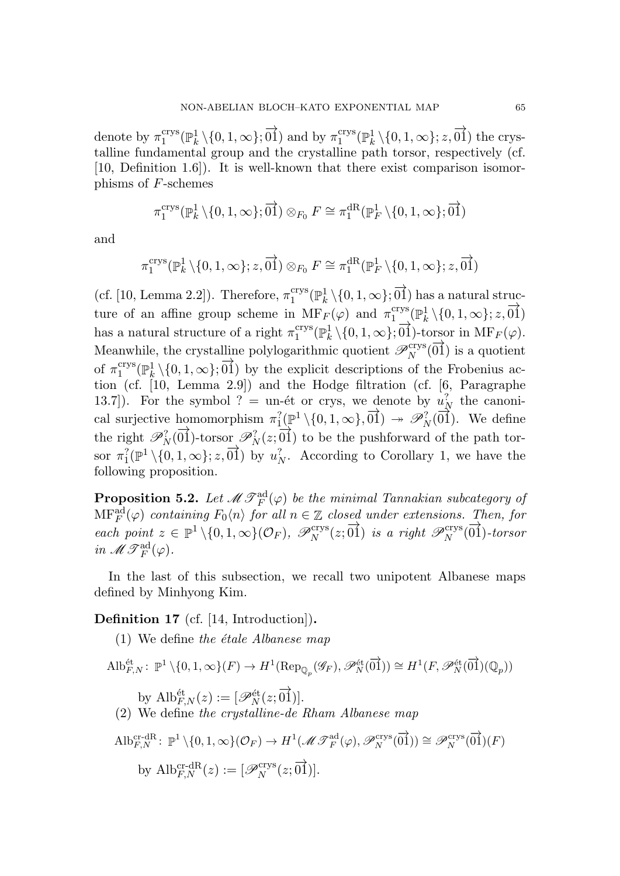denote by  $\pi_1^{\mathrm{crys}}$  $_1^{\rm crys}(\mathbb{P}^1_k$  $\frac{1}{k} \setminus \{0, 1, \infty\}; \overrightarrow{01})$  and by  $\pi_1^{\text{crys}}$  $_{1}^{\mathrm{crys}}(\mathbb{P}^1_k$  $\mathcal{R}^1_k \setminus \{0, 1, \infty\}; z, \overrightarrow{01})$  the crystalline fundamental group and the crystalline path torsor, respectively (cf. [10, Definition 1.6]). It is well-known that there exist comparison isomorphisms of F-schemes

$$
\pi_1^{\mathrm{crys}}(\mathbb{P}^1_k \setminus \{0,1,\infty\};\overrightarrow{01}) \otimes_{F_0} F \cong \pi_1^{\mathrm{dR}}(\mathbb{P}^1_F \setminus \{0,1,\infty\};\overrightarrow{01})
$$

and

$$
\pi_1^{\text{crys}}(\mathbb{P}_k^1 \setminus \{0, 1, \infty\}; z, \overrightarrow{01}) \otimes_{F_0} F \cong \pi_1^{\text{dR}}(\mathbb{P}_F^1 \setminus \{0, 1, \infty\}; z, \overrightarrow{01})
$$

(cf. [10, Lemma 2.2]). Therefore,  $\pi_1^{\text{crys}}$  $\mathbb{C}^{\rm{crys}}_1(\mathbb{P}^1_k)$  $\mathbb{R}^1_k \setminus \{0, 1, \infty\}; \overrightarrow{01}) \text{ has a natural struc-}$ ture of an affine group scheme in  $\text{MF}_F(\varphi)$  and  $\pi_1^{\text{crys}}$  $\mathbb{C}^{\rm{crys}}_{1}(\mathbb{P}^1_k)$  $\frac{1}{k} \setminus \{0,1,\infty\}; z, \overrightarrow{01})$ has a natural structure of a right  $\pi_1^{\text{crys}}$  $_1^{\rm crys}(\mathbb{P}^1_k$  $\mathcal{H}_k^1 \setminus \{0, 1, \infty\}; \overrightarrow{01})$ -torsor in  $\text{MF}_F(\varphi)$ . Meanwhile, the crystalline polylogarithmic quotient  $\mathscr{P}_N^{\text{crys}}(\overrightarrow{01})$  is a quotient of  $\pi_1^{\mathrm{crys}}$  $_1^{\rm crys}(\mathbb{P}^1_k$  $\mathbb{R}^1_{\mathbb{R}}\setminus\{0,1,\infty\};\overrightarrow{01})$  by the explicit descriptions of the Frobenius action  $(cf. [10, Lemma 2.9])$  and the Hodge filtration (cf. [6, Paragraphe 13.7]). For the symbol ? = un-ét or crys, we denote by  $u_N^?$  the canonical surjective homomorphism  $\pi_1^?(\mathbb{P}^1 \setminus \{0, 1, \infty\}, \overrightarrow{01}) \rightarrow \mathscr{P}_N^?(\overrightarrow{01})$ . We define the right  $\mathscr{P}_N^?(\overrightarrow{01})$ -torsor  $\mathscr{P}_N^?(z;\overrightarrow{01})$  to be the pushforward of the path torsor  $\pi_1^?(\mathbb{P}^1 \setminus \{0, 1, \infty\}; z, \overrightarrow{01})$  by  $u_N^?$ . According to Corollary 1, we have the following proposition.

**Proposition 5.2.** Let  $M{\mathscr T}^{\operatorname{ad}}_F(\varphi)$  be the minimal Tannakian subcategory of  $\text{MF}_F^{\text{ad}}(\varphi)$  containing  $F_0\langle n\rangle$  for all  $n \in \mathbb{Z}$  closed under extensions. Then, for each point  $z \in \mathbb{P}^1 \setminus \{0, 1, \infty\}(\mathcal{O}_F)$ ,  $\mathscr{P}_N^{\text{crys}}(z; \overrightarrow{01})$  is a right  $\mathscr{P}_N^{\text{crys}}(\overrightarrow{01})$ -torsor in  $\mathscr{M} \mathscr{T}^{\mathrm{ad}}_F(\varphi)$ .

In the last of this subsection, we recall two unipotent Albanese maps defined by Minhyong Kim.

Definition 17 (cf. [14, Introduction]).

(1) We define the *étale Albanese map* 

$$
\mathrm{Alb}_{F,N}^{\text{\'et}}: \mathbb{P}^1 \setminus \{0, 1, \infty\}(F) \to H^1(\mathrm{Rep}_{\mathbb{Q}_p}(\mathscr{G}_F), \mathscr{P}_N^{\text{\'et}}(\overrightarrow{01})) \cong H^1(F, \mathscr{P}_N^{\text{\'et}}(\overrightarrow{01})(\mathbb{Q}_p))
$$
\nby 
$$
\mathrm{Alb}_{F,N}^{\text{\'et}}(z) := [\mathscr{P}_N^{\text{\'et}}(z; \overrightarrow{01})].
$$
\n(2) We define the crystalline-de Rham Albanese map\n
$$
\mathrm{Alb}_{F,N}^{\text{cr-dR}}: \mathbb{P}^1 \setminus \{0, 1, \infty\}(\mathcal{O}_F) \to H^1(\mathscr{M} \mathscr{P}_F^{\text{ad}}(\varphi), \mathscr{P}_N^{\text{crys}}(\overrightarrow{01})) \cong \mathscr{P}_N^{\text{crys}}(\overrightarrow{01})(F)
$$
\nby 
$$
\mathrm{Alb}_{F,N}^{\text{cr-dR}}(z) := [\mathscr{P}_N^{\text{crys}}(z; \overrightarrow{01})].
$$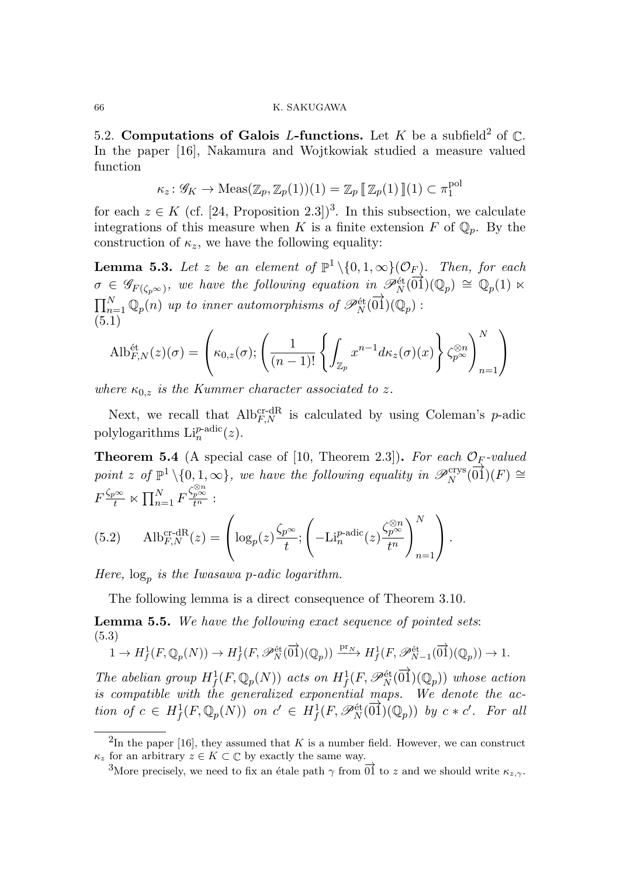5.2. Computations of Galois L-functions. Let K be a subfield<sup>2</sup> of  $\mathbb{C}$ . In the paper [16], Nakamura and Wojtkowiak studied a measure valued function

$$
\kappa_z \colon \mathscr{G}_K \to \operatorname{Meas}(\mathbb{Z}_p, \mathbb{Z}_p(1))(1) = \mathbb{Z}_p \left[ \mathbb{Z}_p(1) \right](1) \subset \pi_1^{\text{pol}}
$$

for each  $z \in K$  (cf. [24, Proposition 2.3])<sup>3</sup>. In this subsection, we calculate integrations of this measure when K is a finite extension F of  $\mathbb{Q}_p$ . By the construction of  $\kappa_z$ , we have the following equality:

**Lemma 5.3.** Let z be an element of  $\mathbb{P}^1 \setminus \{0, 1, \infty\}(\mathcal{O}_F)$ . Then, for each  $\sigma \in \mathscr{G}_{F(\zeta_p,\infty)}$ , we have the following equation in  $\mathscr{P}_N^{\text{\'et}}(\overrightarrow{01})(\mathbb{Q}_p) \cong \mathbb{Q}_p(1)$   $\ltimes$  $\prod_{n=1}^N \mathbb{Q}_p(n)$  up to inner automorphisms of  $\mathscr{P}_N^{\text{\'et}}(\overrightarrow{01})(\mathbb{Q}_p)$ : (5.1)

$$
\text{Alb}_{F,N}^{\text{\'et}}(z)(\sigma) = \left(\kappa_{0,z}(\sigma); \left(\frac{1}{(n-1)!} \left\{ \int_{\mathbb{Z}_p} x^{n-1} d\kappa_z(\sigma)(x) \right\} \zeta_{p^{\infty}}^{\otimes n} \right)_{n=1}^N \right)
$$

where  $\kappa_{0,z}$  is the Kummer character associated to z.

Next, we recall that  $\text{Alb}_{F,N}^{\text{cr-dR}}$  is calculated by using Coleman's p-adic polylogarithms  $\text{Li}_n^{p\text{-adic}}(z)$ .

**Theorem 5.4** (A special case of [10, Theorem 2.3]). For each  $\mathcal{O}_F$ -valued point z of  $\mathbb{P}^1 \setminus \{0, 1, \infty\}$ , we have the following equality in  $\mathscr{P}_N^{\text{crys}}(\overrightarrow{01})(F) \cong$  $F\frac{\zeta_p\infty}{t}$  $\frac{d}{dt} \ltimes \prod_{n=1}^N F \frac{\zeta_{p^{\infty}}^{8n}}{t^n}$ :

(5.2) 
$$
\text{Alb}_{F,N}^{\text{cr-dR}}(z) = \left(\log_p(z)\frac{\zeta_p \infty}{t}; \left(-\text{Li}_n^{p\text{-adic}}(z)\frac{\zeta_p^{\otimes n}}{t^n}\right)_{n=1}^N\right).
$$

Here,  $log_p$  is the Iwasawa p-adic logarithm.

The following lemma is a direct consequence of Theorem 3.10.

Lemma 5.5. We have the following exact sequence of pointed sets: (5.3)

$$
1 \to H^1_f(F, \mathbb{Q}_p(N)) \to H^1_f(F, \mathscr{P}_N^{\text{\'et}}(\overrightarrow{01})(\mathbb{Q}_p)) \xrightarrow{\mathrm{pr}_N} H^1_f(F, \mathscr{P}_{N-1}^{\text{\'et}}(\overrightarrow{01})(\mathbb{Q}_p)) \to 1.
$$

The abelian group  $H^1_f(F, \mathbb{Q}_p(N))$  acts on  $H^1_f(F, \mathscr{P}_N^{\text{\'et}}(\overrightarrow{01})(\mathbb{Q}_p))$  whose action is compatible with the generalized exponential maps. We denote the action of  $c \in H^1_f(F, \mathbb{Q}_p(N))$  on  $c' \in H^1_f(F, \mathscr{P}_N^{\text{\'et}}(\overrightarrow{01})(\mathbb{Q}_p))$  by  $c * c'$ . For all

<sup>&</sup>lt;sup>2</sup>In the paper [16], they assumed that K is a number field. However, we can construct  $\kappa_z$  for an arbitrary  $z \in K \subset \mathbb{C}$  by exactly the same way.

<sup>&</sup>lt;sup>3</sup>More precisely, we need to fix an étale path  $\gamma$  from  $\overrightarrow{01}$  to z and we should write  $\kappa_{z,\gamma}$ .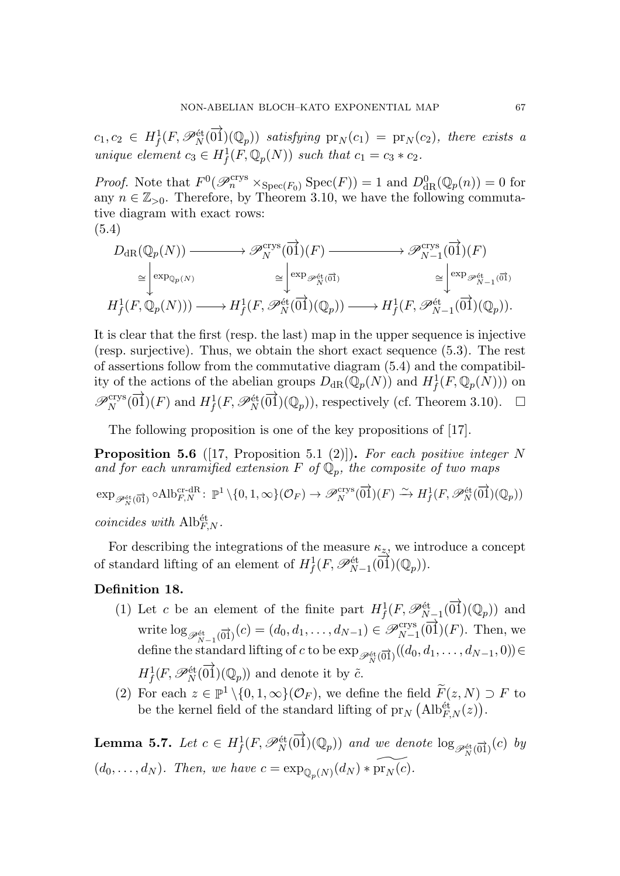$c_1, c_2 \in H^1_f(F, \mathscr{P}_N^{\text{\'et}}(\overrightarrow{01})(\mathbb{Q}_p))$  satisfying  $\mathrm{pr}_N(c_1) = \mathrm{pr}_N(c_2)$ , there exists a unique element  $c_3 \in H_f^1(F, \mathbb{Q}_p(N))$  such that  $c_1 = c_3 * c_2$ .

*Proof.* Note that  $F^0(\mathscr{P}_n^{\text{crys}} \times_{\text{Spec}(F_0)} \text{Spec}(F)) = 1$  and  $D^0_{\text{dR}}(\mathbb{Q}_p(n)) = 0$  for any  $n \in \mathbb{Z}_{>0}$ . Therefore, by Theorem 3.10, we have the following commutative diagram with exact rows:

$$
(5.4)
$$

$$
D_{\mathrm{dR}}(\mathbb{Q}_p(N)) \longrightarrow \mathscr{P}_N^{\mathrm{crys}}(\overrightarrow{01})(F) \longrightarrow \mathscr{P}_{N-1}^{\mathrm{crys}}(\overrightarrow{01})(F)
$$
  
\n
$$
\cong \begin{bmatrix} \exp_{\mathbb{Q}_p(N)} & \cong \end{bmatrix} \exp_{\mathscr{P}_N^{\mathrm{\acute{e}t}}(\overrightarrow{01})} \cong \mathbb{Z} \longrightarrow \mathscr{P}_{N-1}^{\mathrm{crys}}(\overrightarrow{01})(F)
$$
  
\n
$$
H_f^1(F, \mathbb{Q}_p(N))) \longrightarrow H_f^1(F, \mathscr{P}_N^{\mathrm{\acute{e}t}}(\overrightarrow{01})(\mathbb{Q}_p)) \longrightarrow H_f^1(F, \mathscr{P}_{N-1}^{\mathrm{\acute{e}t}}(\overrightarrow{01})(\mathbb{Q}_p)).
$$

It is clear that the first (resp. the last) map in the upper sequence is injective (resp. surjective). Thus, we obtain the short exact sequence (5.3). The rest of assertions follow from the commutative diagram (5.4) and the compatibility of the actions of the abelian groups  $D_{\text{dR}}(\mathbb{Q}_p(N))$  and  $H^1_f(F, \mathbb{Q}_p(N)))$  on  $\mathscr{P}_N^{\text{crys}}(\overrightarrow{01})(F)$  and  $H^1_f(F,\mathscr{P}_N^{\text{\'et}}(\overrightarrow{01})(\mathbb{Q}_p))$ , respectively (cf. Theorem 3.10).  $\Box$ 

The following proposition is one of the key propositions of [17].

**Proposition 5.6** ([17, Proposition 5.1 (2)]). For each positive integer N and for each unramified extension F of  $\mathbb{Q}_p$ , the composite of two maps

$$
\exp_{\mathscr{P}_N^{\text{\'et}}(\overrightarrow{01})} \circ Alb_{F,N}^{\text{cr-dR}}: \mathbb{P}^1 \setminus \{0,1,\infty\}(\mathcal{O}_F) \to \mathscr{P}_N^{\text{crys}}(\overrightarrow{01})(F) \xrightarrow{\sim} H^1_f(F,\mathscr{P}_N^{\text{\'et}}(\overrightarrow{01})(\mathbb{Q}_p))
$$
  
coincides with  $\text{Alb}_{F,N}^{\text{\'et}}.$ 

For describing the integrations of the measure  $\kappa_{\underline{z}}$ , we introduce a concept of standard lifting of an element of  $H^1_f(F, \mathscr{P}_{N-1}^{\text{\'et}}(\overrightarrow{01})(\mathbb{Q}_p)).$ 

## Definition 18.

- (1) Let c be an element of the finite part  $H^1_f(F, \mathscr{P}_{N-1}^{\text{\'et}}(\overrightarrow{01})(\mathbb{Q}_p))$  and write  $\log_{\mathscr{P}_{N-1}^{\text{\'et}}(\overrightarrow{01})}(c) = (d_0, d_1, \ldots, d_{N-1}) \in \mathscr{P}_{N-1}^{\text{crys}}(\overrightarrow{01})(F)$ . Then, we  $\text{define the standard lifting of } c \text{ to be } \exp_{\mathscr{P}_N^{\text{\'et}}(\overrightarrow{01})}((d_0, d_1, \ldots, d_{N-1}, 0))$  $H^1_f(F, \mathscr{P}_N^{\text{\'et}}(\overrightarrow{01})(\mathbb{Q}_p))$  and denote it by  $\tilde{c}$ .
- (2) For each  $z \in \mathbb{P}^1 \setminus \{0, 1, \infty\}(\mathcal{O}_F)$ , we define the field  $\widetilde{F}(z, N) \supset F$  to be the kernel field of the standard lifting of  $\mathrm{pr}_{N}(\mathrm{Alb}^{\mathrm{\acute{e}t}}_{F,N}(z)).$

**Lemma 5.7.** Let  $c \in H_f^1(F, \mathscr{P}_N^{\text{\'et}}(\overrightarrow{01})(\mathbb{Q}_p))$  and we denote  $\log_{\mathscr{P}_N^{\text{\'et}}(\overrightarrow{01})}(c)$  by  $(d_0, \ldots, d_N)$ . Then, we have  $c = \exp_{\mathbb{Q}_p(N)}(d_N) * \text{pr}_N (c)$ .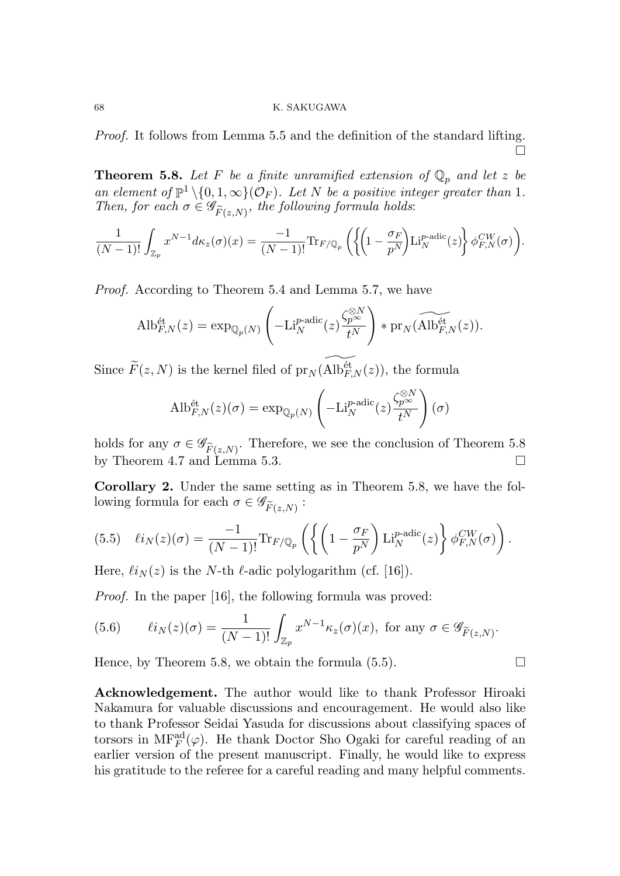Proof. It follows from Lemma 5.5 and the definition of the standard lifting.  $\Box$ 

**Theorem 5.8.** Let F be a finite unramified extension of  $\mathbb{Q}_p$  and let z be an element of  $\mathbb{P}^1 \setminus \{0, 1, \infty\}(\mathcal{O}_F)$ . Let N be a positive integer greater than 1. Then, for each  $\sigma \in \mathscr{G}_{\widetilde{F}(z,N)}$ , the following formula holds:

$$
\frac{1}{(N-1)!} \int_{\mathbb{Z}_p} x^{N-1} d\kappa_z(\sigma)(x) = \frac{-1}{(N-1)!} \text{Tr}_{F/\mathbb{Q}_p} \left( \left\{ \left( 1 - \frac{\sigma_F}{p^N} \right) \text{Li}_N^{p\text{-adic}}(z) \right\} \phi_{F,N}^{CW}(\sigma) \right).
$$

Proof. According to Theorem 5.4 and Lemma 5.7, we have

$$
\text{Alb}_{F,N}^{\text{\'et}}(z) = \exp_{\mathbb{Q}_p(N)} \left( -\text{Li}_{N}^{p\text{-adic}}(z) \frac{\zeta_p^{\otimes N}}{t^N} \right) * \text{pr}_N(\widetilde{\text{Alb}_{F,N}^{\text{\'et}}}(z)).
$$

Since  $\widetilde{F}(z, N)$  is the kernel filed of  $\mathrm{pr}_N(\mathrm{Alb}^{\text{\'et}}_{F,N} (z))$ , the formula

$$
\text{Alb}_{F,N}^{\text{\'et}}(z)(\sigma) = \exp_{\mathbb{Q}_p(N)} \left( -\text{Li}_{N}^{p\text{-adic}}(z) \frac{\zeta_p^{\otimes N}}{t^N} \right)(\sigma)
$$

holds for any  $\sigma \in \mathscr{G}_{\widetilde{F}(z,N)}$ . Therefore, we see the conclusion of Theorem 5.8 by Theorem 4.7 and Lemma 5.3.

Corollary 2. Under the same setting as in Theorem 5.8, we have the following formula for each  $\sigma \in \mathscr{G}_{\widetilde{F}(z,N)}$ :

(5.5) 
$$
\ell i_N(z)(\sigma) = \frac{-1}{(N-1)!} \text{Tr}_{F/\mathbb{Q}_p} \left( \left\{ \left( 1 - \frac{\sigma_F}{p^N} \right) \text{Li}_N^{p\text{-adic}}(z) \right\} \phi_{F,N}^{CW}(\sigma) \right).
$$

Here,  $\ell i_N (z)$  is the N-th  $\ell$ -adic polylogarithm (cf. [16]).

Proof. In the paper [16], the following formula was proved:

(5.6) 
$$
\ell i_N(z)(\sigma) = \frac{1}{(N-1)!} \int_{\mathbb{Z}_p} x^{N-1} \kappa_z(\sigma)(x), \text{ for any } \sigma \in \mathscr{G}_{\widetilde{F}(z,N)}.
$$

Hence, by Theorem 5.8, we obtain the formula  $(5.5)$ .

Acknowledgement. The author would like to thank Professor Hiroaki Nakamura for valuable discussions and encouragement. He would also like to thank Professor Seidai Yasuda for discussions about classifying spaces of torsors in  $\mathrm{MF}^{\mathrm{ad}}_F(\varphi)$ . He thank Doctor Sho Ogaki for careful reading of an earlier version of the present manuscript. Finally, he would like to express his gratitude to the referee for a careful reading and many helpful comments.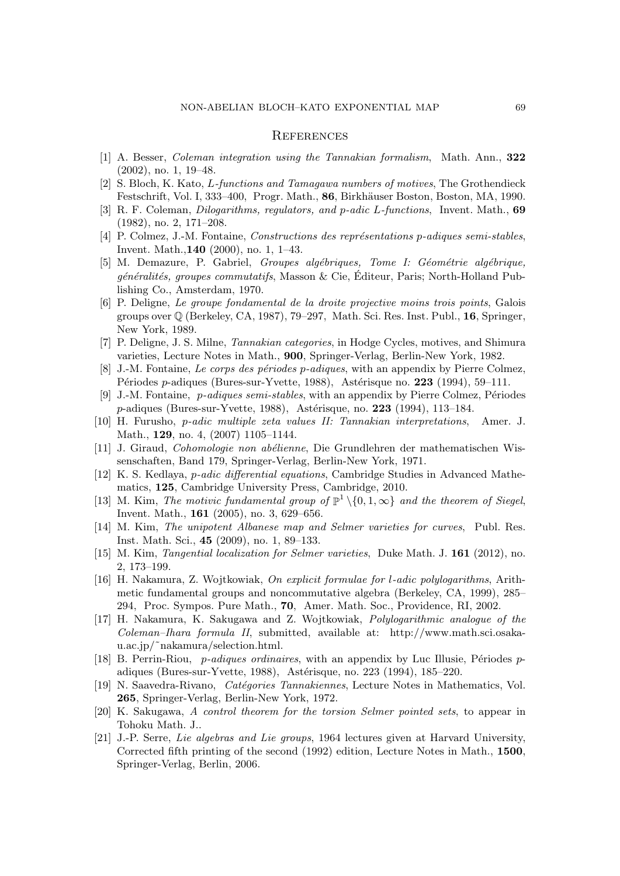#### **REFERENCES**

- [1] A. Besser, Coleman integration using the Tannakian formalism, Math. Ann., 322 (2002), no. 1, 19–48.
- [2] S. Bloch, K. Kato, L-functions and Tamagawa numbers of motives, The Grothendieck Festschrift, Vol. I, 333–400, Progr. Math., 86, Birkhäuser Boston, Boston, MA, 1990.
- [3] R. F. Coleman, Dilogarithms, regulators, and p-adic L-functions, Invent. Math., 69 (1982), no. 2, 171–208.
- [4] P. Colmez, J.-M. Fontaine, *Constructions des représentations p-adiques semi-stables*, Invent. Math.,140 (2000), no. 1, 1–43.
- [5] M. Demazure, P. Gabriel, Groupes algébriques, Tome I: Géométrie algébrique,  $g\acute{e}n\acute{e}rali\acute{e}s$ , groupes commutatifs, Masson & Cie, Editeur, Paris; North-Holland Publishing Co., Amsterdam, 1970.
- [6] P. Deligne, Le groupe fondamental de la droite projective moins trois points, Galois groups over  $\mathbb Q$  (Berkeley, CA, 1987), 79–297, Math. Sci. Res. Inst. Publ., 16, Springer, New York, 1989.
- [7] P. Deligne, J. S. Milne, Tannakian categories, in Hodge Cycles, motives, and Shimura varieties, Lecture Notes in Math., 900, Springer-Verlag, Berlin-New York, 1982.
- [8] J.-M. Fontaine, Le corps des périodes p-adiques, with an appendix by Pierre Colmez, Périodes *p*-adiques (Bures-sur-Yvette, 1988), Astérisque no. 223 (1994), 59–111.
- [9] J.-M. Fontaine,  $p\text{-}adiques semi-stables, with an appendix by Pierre Colmez, Périodes$ p-adiques (Bures-sur-Yvette, 1988), Astérisque, no. 223 (1994), 113-184.
- [10] H. Furusho, p-adic multiple zeta values II: Tannakian interpretations, Amer. J. Math., **129**, no. 4, (2007) 1105-1144.
- [11] J. Giraud, Cohomologie non abélienne, Die Grundlehren der mathematischen Wissenschaften, Band 179, Springer-Verlag, Berlin-New York, 1971.
- [12] K. S. Kedlaya, p-adic differential equations, Cambridge Studies in Advanced Mathematics, 125, Cambridge University Press, Cambridge, 2010.
- [13] M. Kim, The motivic fundamental group of  $\mathbb{P}^1 \setminus \{0, 1, \infty\}$  and the theorem of Siegel, Invent. Math., 161 (2005), no. 3, 629–656.
- [14] M. Kim, The unipotent Albanese map and Selmer varieties for curves, Publ. Res. Inst. Math. Sci., 45 (2009), no. 1, 89–133.
- [15] M. Kim, Tangential localization for Selmer varieties, Duke Math. J. 161 (2012), no. 2, 173–199.
- [16] H. Nakamura, Z. Wojtkowiak, On explicit formulae for l-adic polylogarithms, Arithmetic fundamental groups and noncommutative algebra (Berkeley, CA, 1999), 285– 294, Proc. Sympos. Pure Math., 70, Amer. Math. Soc., Providence, RI, 2002.
- [17] H. Nakamura, K. Sakugawa and Z. Wojtkowiak, Polylogarithmic analogue of the Coleman–Ihara formula II, submitted, available at: http://www.math.sci.osakau.ac.jp/˜nakamura/selection.html.
- [18] B. Perrin-Riou,  $p$ -adiques ordinaires, with an appendix by Luc Illusie, Périodes  $p$ adiques (Bures-sur-Yvette, 1988), Astérisque, no. 223 (1994), 185–220.
- [19] N. Saavedra-Rivano, *Catégories Tannakiennes*, Lecture Notes in Mathematics, Vol. 265, Springer-Verlag, Berlin-New York, 1972.
- [20] K. Sakugawa, A control theorem for the torsion Selmer pointed sets, to appear in Tohoku Math. J..
- [21] J.-P. Serre, Lie algebras and Lie groups, 1964 lectures given at Harvard University, Corrected fifth printing of the second (1992) edition, Lecture Notes in Math., 1500, Springer-Verlag, Berlin, 2006.